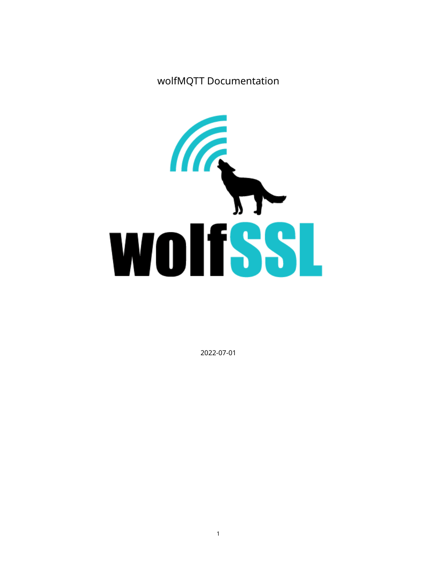wolfMQTT Documentation



2022-07-01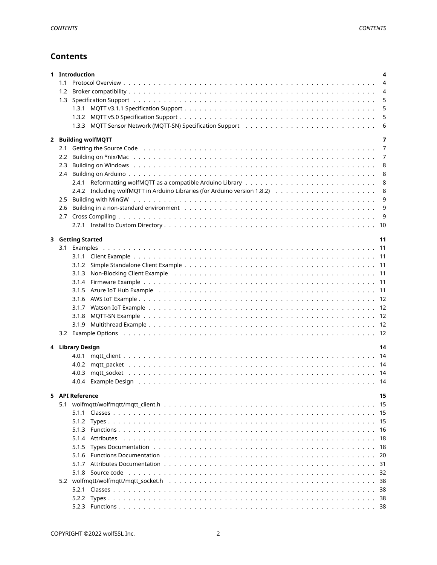# **Contents**

| 1.2<br>2 Building wolfMQTT<br>2.1<br>$2.2^{\circ}$<br>2.3<br>2.5<br>2.6<br>3 Getting Started<br>3.1.3 Non-Blocking Client Example (a) and a subset of the contract of the contract of the contract of the contract of the contract of the contract of the contract of the contract of the contract of the contract of the cont<br>4 Library Design | $\overline{4}$<br>$\overline{4}$<br>5<br>5<br>5<br>6<br>7<br>7<br>7<br>8<br>8<br>8<br>8<br>9<br>9<br>9<br>11 |
|----------------------------------------------------------------------------------------------------------------------------------------------------------------------------------------------------------------------------------------------------------------------------------------------------------------------------------------------------|--------------------------------------------------------------------------------------------------------------|
|                                                                                                                                                                                                                                                                                                                                                    |                                                                                                              |
|                                                                                                                                                                                                                                                                                                                                                    |                                                                                                              |
|                                                                                                                                                                                                                                                                                                                                                    |                                                                                                              |
|                                                                                                                                                                                                                                                                                                                                                    |                                                                                                              |
|                                                                                                                                                                                                                                                                                                                                                    |                                                                                                              |
|                                                                                                                                                                                                                                                                                                                                                    |                                                                                                              |
|                                                                                                                                                                                                                                                                                                                                                    |                                                                                                              |
|                                                                                                                                                                                                                                                                                                                                                    |                                                                                                              |
|                                                                                                                                                                                                                                                                                                                                                    |                                                                                                              |
|                                                                                                                                                                                                                                                                                                                                                    |                                                                                                              |
|                                                                                                                                                                                                                                                                                                                                                    |                                                                                                              |
|                                                                                                                                                                                                                                                                                                                                                    |                                                                                                              |
|                                                                                                                                                                                                                                                                                                                                                    |                                                                                                              |
|                                                                                                                                                                                                                                                                                                                                                    |                                                                                                              |
|                                                                                                                                                                                                                                                                                                                                                    |                                                                                                              |
|                                                                                                                                                                                                                                                                                                                                                    |                                                                                                              |
|                                                                                                                                                                                                                                                                                                                                                    |                                                                                                              |
|                                                                                                                                                                                                                                                                                                                                                    |                                                                                                              |
|                                                                                                                                                                                                                                                                                                                                                    |                                                                                                              |
|                                                                                                                                                                                                                                                                                                                                                    |                                                                                                              |
|                                                                                                                                                                                                                                                                                                                                                    |                                                                                                              |
|                                                                                                                                                                                                                                                                                                                                                    |                                                                                                              |
|                                                                                                                                                                                                                                                                                                                                                    |                                                                                                              |
|                                                                                                                                                                                                                                                                                                                                                    |                                                                                                              |
|                                                                                                                                                                                                                                                                                                                                                    |                                                                                                              |
|                                                                                                                                                                                                                                                                                                                                                    |                                                                                                              |
|                                                                                                                                                                                                                                                                                                                                                    |                                                                                                              |
|                                                                                                                                                                                                                                                                                                                                                    |                                                                                                              |
|                                                                                                                                                                                                                                                                                                                                                    |                                                                                                              |
|                                                                                                                                                                                                                                                                                                                                                    |                                                                                                              |
|                                                                                                                                                                                                                                                                                                                                                    | 14                                                                                                           |
|                                                                                                                                                                                                                                                                                                                                                    |                                                                                                              |
|                                                                                                                                                                                                                                                                                                                                                    |                                                                                                              |
|                                                                                                                                                                                                                                                                                                                                                    |                                                                                                              |
|                                                                                                                                                                                                                                                                                                                                                    |                                                                                                              |
| 5 API Reference                                                                                                                                                                                                                                                                                                                                    | 15                                                                                                           |
|                                                                                                                                                                                                                                                                                                                                                    | - 15                                                                                                         |
|                                                                                                                                                                                                                                                                                                                                                    |                                                                                                              |
|                                                                                                                                                                                                                                                                                                                                                    |                                                                                                              |
|                                                                                                                                                                                                                                                                                                                                                    |                                                                                                              |
|                                                                                                                                                                                                                                                                                                                                                    |                                                                                                              |
| 5.1.5                                                                                                                                                                                                                                                                                                                                              |                                                                                                              |
|                                                                                                                                                                                                                                                                                                                                                    |                                                                                                              |
|                                                                                                                                                                                                                                                                                                                                                    |                                                                                                              |
|                                                                                                                                                                                                                                                                                                                                                    |                                                                                                              |
| 5.2 wolfmqtt/wolfmqtt/mqtt socket.https://www.co.un.co.un.co.un.co.un.co.un.co.un.co.un.co.un.38                                                                                                                                                                                                                                                   |                                                                                                              |
|                                                                                                                                                                                                                                                                                                                                                    |                                                                                                              |
| 5.2.2                                                                                                                                                                                                                                                                                                                                              |                                                                                                              |
|                                                                                                                                                                                                                                                                                                                                                    |                                                                                                              |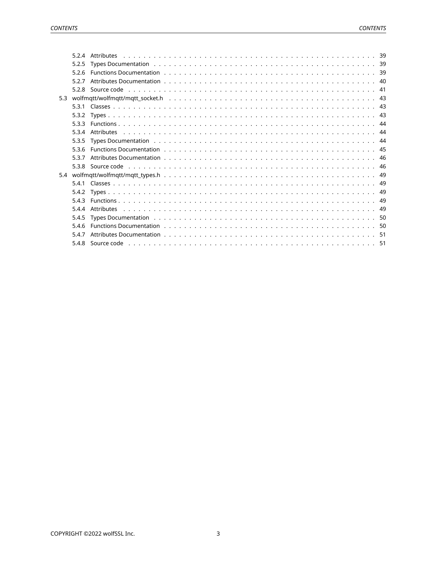<span id="page-2-0"></span>

|     | 524   | Attributes                                                                                                                                                                                                                     |  |
|-----|-------|--------------------------------------------------------------------------------------------------------------------------------------------------------------------------------------------------------------------------------|--|
|     | 5.2.5 | Types Documentation (and all contacts and all contacts and all contacts are all contacts and all contacts are $\frac{39}{2}$                                                                                                   |  |
|     | 526   |                                                                                                                                                                                                                                |  |
|     | 5.2.7 |                                                                                                                                                                                                                                |  |
|     |       |                                                                                                                                                                                                                                |  |
| 5.3 |       |                                                                                                                                                                                                                                |  |
|     |       |                                                                                                                                                                                                                                |  |
|     |       |                                                                                                                                                                                                                                |  |
|     | 5.3.3 |                                                                                                                                                                                                                                |  |
|     | 5.3.4 |                                                                                                                                                                                                                                |  |
|     | 5.3.5 |                                                                                                                                                                                                                                |  |
|     |       |                                                                                                                                                                                                                                |  |
|     | 5.3.7 |                                                                                                                                                                                                                                |  |
|     |       |                                                                                                                                                                                                                                |  |
|     |       |                                                                                                                                                                                                                                |  |
|     | 5.4.1 |                                                                                                                                                                                                                                |  |
|     | 5.4.2 |                                                                                                                                                                                                                                |  |
|     | 543   |                                                                                                                                                                                                                                |  |
|     |       | 5.4.4 Attributes                                                                                                                                                                                                               |  |
|     | 5.4.5 |                                                                                                                                                                                                                                |  |
|     | 546   | Functions Documentation by example and contact the contract of the contract of the contract of the contract of the contract of the contract of the contract of the contract of the contract of the contract of the contract of |  |
|     | 547   |                                                                                                                                                                                                                                |  |
|     |       |                                                                                                                                                                                                                                |  |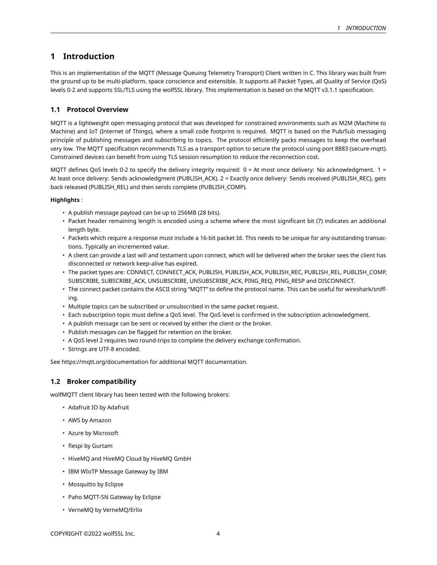# **1 Introduction**

This is an implementation of the MQTT (Message Queuing Telemetry Transport) Client written in C. This library was built from the ground up to be multi-platform, space conscience and extensible. It supports all Packet Types, all Quality of Service (QoS) levels 0-2 and supports SSL/TLS using the wolfSSL library. This implementation is based on the MQTT v3.1.1 specification.

# <span id="page-3-0"></span>**1.1 Protocol Overview**

MQTT is a lightweight open messaging protocol that was developed for constrained environments such as M2M (Machine to Machine) and IoT (Internet of Things), where a small code footprint is required. MQTT is based on the Pub/Sub messaging principle of publishing messages and subscribing to topics. The protocol efficiently packs messages to keep the overhead very low. The MQTT specification recommends TLS as a transport option to secure the protocol using port 8883 (secure-mqtt). Constrained devices can benefit from using TLS session resumption to reduce the reconnection cost.

MQTT defines QoS levels 0-2 to specify the delivery integrity required:  $0 = At$  most once delivery: No acknowledgment.  $1 =$ At least once delivery: Sends acknowledgment (PUBLISH\_ACK). 2 = Exactly once delivery: Sends received (PUBLISH\_REC), gets back released (PUBLISH\_REL) and then sends complete (PUBLISH\_COMP).

# **Highlights** :

- A publish message payload can be up to 256MB (28 bits).
- Packet header remaining length is encoded using a scheme where the most significant bit (7) indicates an additional length byte.
- Packets which require a response must include a 16-bit packet Id. This needs to be unique for any outstanding transactions. Typically an incremented value.
- A client can provide a last will and testament upon connect, which will be delivered when the broker sees the client has disconnected or network keep-alive has expired.
- The packet types are: CONNECT, CONNECT\_ACK, PUBLISH, PUBLISH\_ACK, PUBLISH\_REC, PUBLISH\_REL, PUBLISH\_COMP, SUBSCRIBE, SUBSCRIBE\_ACK, UNSUBSCRIBE, UNSUBSCRIBE\_ACK, PING\_REQ, PING\_RESP and DISCONNECT.
- The connect packet contains the ASCII string "MQTT" to define the protocol name. This can be useful for wireshark/sniffing.
- Multiple topics can be subscribed or unsubscribed in the same packet request.
- Each subscription topic must define a QoS level. The QoS level is confirmed in the subscription acknowledgment.
- A publish message can be sent or received by either the client or the broker.
- Publish messages can be flagged for retention on the broker.
- A QoS level 2 requires two round-trips to complete the delivery exchange confirmation.
- Strings are UTF-8 encoded.

<span id="page-3-1"></span>See https://mqtt.org/documentation for additional MQTT documentation.

# **1.2 Broker compatibility**

wolfMQTT client library has been tested with the following brokers:

- Adafruit IO by Adafruit
- AWS by Amazon
- Azure by Microsoft
- flespi by Gurtam
- HiveMQ and HiveMQ Cloud by HiveMQ GmbH
- IBM WIoTP Message Gateway by IBM
- Mosquitto by Eclipse
- Paho MQTT-SN Gateway by Eclipse
- <span id="page-3-2"></span>• VerneMQ by VerneMQ/Erlio

COPYRIGHT ©2022 wolfSSL Inc. 4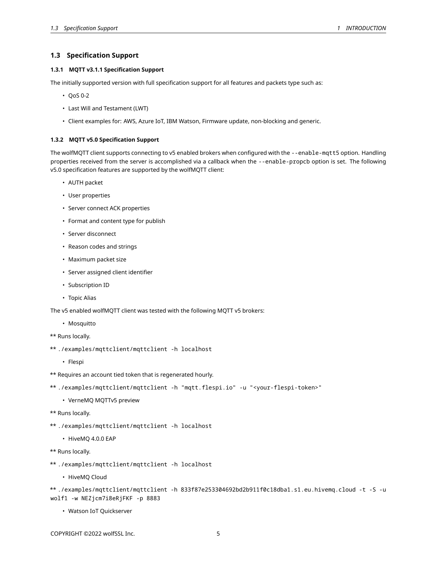# **1.3 Specification Support**

# <span id="page-4-0"></span>**1.3.1 MQTT v3.1.1 Specification Support**

The initially supported version with full specification support for all features and packets type such as:

- QoS 0-2
- Last Will and Testament (LWT)
- Client examples for: AWS, Azure IoT, IBM Watson, Firmware update, non-blocking and generic.

#### <span id="page-4-1"></span>**1.3.2 MQTT v5.0 Specification Support**

The wolfMQTT client supports connecting to v5 enabled brokers when configured with the --enable-mqtt5 option. Handling properties received from the server is accomplished via a callback when the --enable-propcb option is set. The following v5.0 specification features are supported by the wolfMQTT client:

- AUTH packet
- User properties
- Server connect ACK properties
- Format and content type for publish
- Server disconnect
- Reason codes and strings
- Maximum packet size
- Server assigned client identifier
- Subscription ID
- Topic Alias

The v5 enabled wolfMQTT client was tested with the following MQTT v5 brokers:

- Mosquitto
- \*\* Runs locally.
- \*\* ./examples/mqttclient/mqttclient -h localhost
	- Flespi

\*\* Requires an account tied token that is regenerated hourly.

- \*\* ./examples/mqttclient/mqttclient -h "mqtt.flespi.io" -u "<your-flespi-token>"
	- VerneMQ MQTTv5 preview
- \*\* Runs locally.
- \*\* ./examples/mqttclient/mqttclient -h localhost
	- HiveMQ 4.0.0 EAP
- \*\* Runs locally.
- \*\* ./examples/mqttclient/mqttclient -h localhost
	- HiveMQ Cloud

\*\* ./examples/mqttclient/mqttclient -h 833f87e253304692bd2b911f0c18dba1.s1.eu.hivemq.cloud -t -S -u wolf1 -w NEZjcm7i8eRjFKF -p 8883

• Watson IoT Quickserver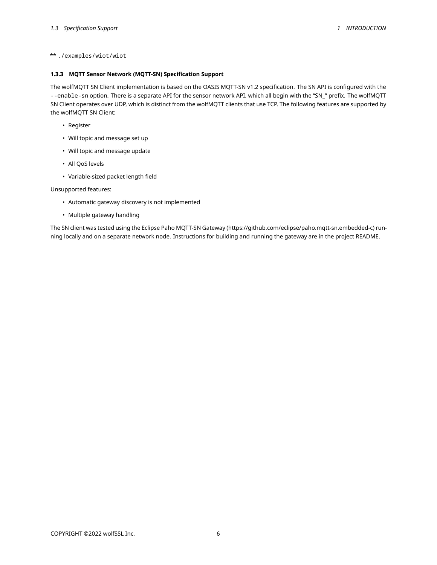# <span id="page-5-0"></span>\*\* ./examples/wiot/wiot

# **1.3.3 MQTT Sensor Network (MQTT-SN) Specification Support**

The wolfMQTT SN Client implementation is based on the OASIS MQTT-SN v1.2 specification. The SN API is configured with the --enable-sn option. There is a separate API for the sensor network API, which all begin with the "SN\_" prefix. The wolfMQTT SN Client operates over UDP, which is distinct from the wolfMQTT clients that use TCP. The following features are supported by the wolfMQTT SN Client:

- Register
- Will topic and message set up
- Will topic and message update
- All QoS levels
- Variable-sized packet length field

Unsupported features:

- Automatic gateway discovery is not implemented
- Multiple gateway handling

<span id="page-5-1"></span>The SN client was tested using the Eclipse Paho MQTT-SN Gateway (https://github.com/eclipse/paho.mqtt-sn.embedded-c) running locally and on a separate network node. Instructions for building and running the gateway are in the project README.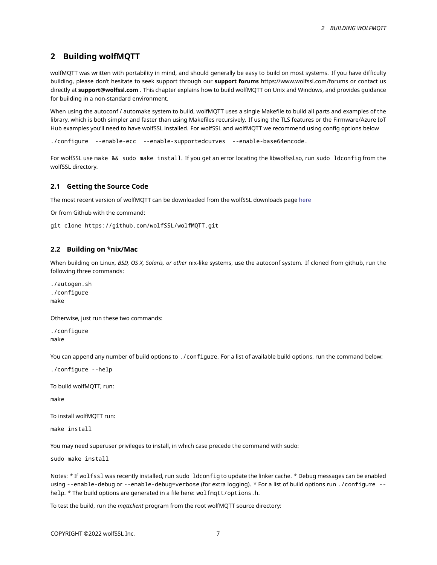# **2 Building wolfMQTT**

wolfMQTT was written with portability in mind, and should generally be easy to build on most systems. If you have difficulty building, please don't hesitate to seek support through our **support forums** https://www.wolfssl.com/forums or contact us directly at **support@wolfssl.com** . This chapter explains how to build wolfMQTT on Unix and Windows, and provides guidance for building in a non-standard environment.

When using the autoconf / automake system to build, wolfMQTT uses a single Makefile to build all parts and examples of the library, which is both simpler and faster than using Makefiles recursively. If using the TLS features or the Firmware/Azure IoT Hub examples you'll need to have wolfSSL installed. For wolfSSL and wolfMQTT we recommend using config options below

./configure --enable-ecc --enable-supportedcurves --enable-base64encode.

For wolfSSL use make && sudo make install. If you get an error locating the libwolfssl.so, run sudo ldconfig from the wolfSSL directory.

# <span id="page-6-0"></span>**2.1 Getting the Source Code**

The most recent version of wolfMQTT can be downloaded from the wolfSSL downloads page [here](https://www.wolfssl.com/download/)

Or from Github with the command:

<span id="page-6-1"></span>git clone https://github.com/wolfSSL/wolfMQTT.git

# **2.2 Building on \*nix/Mac**

When building on Linux, *BSD, OS X, Solaris, or other* nix-like systems, use the autoconf system. If cloned from github, run the following three commands:

./autogen.sh ./configure make

Otherwise, just run these two commands:

./configure make

You can append any number of build options to . / configure. For a list of available build options, run the command below:

./configure --help

To build wolfMQTT, run:

make

To install wolfMQTT run:

make install

You may need superuser privileges to install, in which case precede the command with sudo:

sudo make install

Notes: \* If wolfssl was recently installed, run sudo ldconfig to update the linker cache. \* Debug messages can be enabled using --enable-debug or --enable-debug=verbose (for extra logging). \* For a list of build options run ./configure - help. \* The build options are generated in a file here: wolfmqtt/options.h.

To test the build, run the *mqttclient* program from the root wolfMQTT source directory: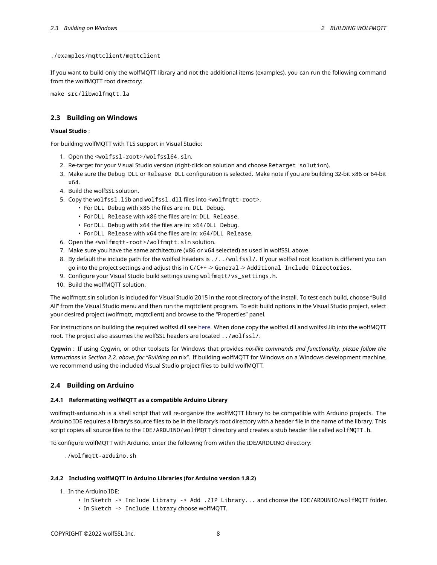./examples/mqttclient/mqttclient

If you want to build only the wolfMQTT library and not the additional items (examples), you can run the following command from the wolfMQTT root directory:

<span id="page-7-0"></span>make src/libwolfmqtt.la

# **2.3 Building on Windows**

#### **Visual Studio** :

For building wolfMQTT with TLS support in Visual Studio:

- 1. Open the <wolfssl-root>/wolfssl64.sln.
- 2. Re-target for your Visual Studio version (right-click on solution and choose Retarget solution).
- 3. Make sure the Debug DLL or Release DLL configuration is selected. Make note if you are building 32-bit x86 or 64-bit x64.
- 4. Build the wolfSSL solution.
- 5. Copy the wolfssl.lib and wolfssl.dll files into <wolfmqtt-root>.
	- For DLL Debug with x86 the files are in: DLL Debug.
	- For DLL Release with x86 the files are in: DLL Release.
	- For DLL Debug with x64 the files are in: x64/DLL Debug.
	- For DLL Release with x64 the files are in: x64/DLL Release.
- 6. Open the <wolfmqtt-root>/wolfmqtt.sln solution.
- 7. Make sure you have the same architecture (x86 or x64 selected) as used in wolfSSL above.
- 8. By default the include path for the wolfssl headers is ./../wolfssl/. If your wolfssl root location is different you can go into the project settings and adjust this in C/C++ -> General -> Additional Include Directories.
- 9. Configure your Visual Studio build settings using wolfmqtt/vs\_settings.h.
- 10. Build the wolfMQTT solution.

The wolfmqtt.sln solution is included for Visual Studio 2015 in the root directory of the install. To test each build, choose "Build All" from the Visual Studio menu and then run the mqttclient program. To edit build options in the Visual Studio project, select your desired project (wolfmqtt, mqttclient) and browse to the "Properties" panel.

For instructions on building the required wolfssl.dll see [here.](https://www.wolfssl.com/wolfSSL/Docs-wolfssl-visual-studio) When done copy the wolfssl.dll and wolfssl.lib into the wolfMQTT root. The project also assumes the wolfSSL headers are located ../wolfssl/.

**Cygwin** : If using Cygwin, or other toolsets for Windows that provides *nix-like commands and functionality, please follow the instructions in Section 2.2, above, for "Building on* nix". If building wolfMQTT for Windows on a Windows development machine, we recommend using the included Visual Studio project files to build wolfMQTT.

### <span id="page-7-1"></span>**2.4 Building on Arduino**

#### <span id="page-7-2"></span>**2.4.1 Reformatting wolfMQTT as a compatible Arduino Library**

wolfmqtt-arduino.sh is a shell script that will re-organize the wolfMQTT library to be compatible with Arduino projects. The Arduino IDE requires a library's source files to be in the library's root directory with a header file in the name of the library. This script copies all source files to the IDE/ARDUINO/wolfMQTT directory and creates a stub header file called wolfMQTT.h.

To configure wolfMQTT with Arduino, enter the following from within the IDE/ARDUINO directory:

./wolfmqtt-arduino.sh

#### <span id="page-7-3"></span>**2.4.2 Including wolfMQTT in Arduino Libraries (for Arduino version 1.8.2)**

- 1. In the Arduino IDE:
	- In Sketch -> Include Library -> Add .ZIP Library... and choose the IDE/ARDUNIO/wolfMQTT folder.
	- In Sketch -> Include Library choose wolfMQTT.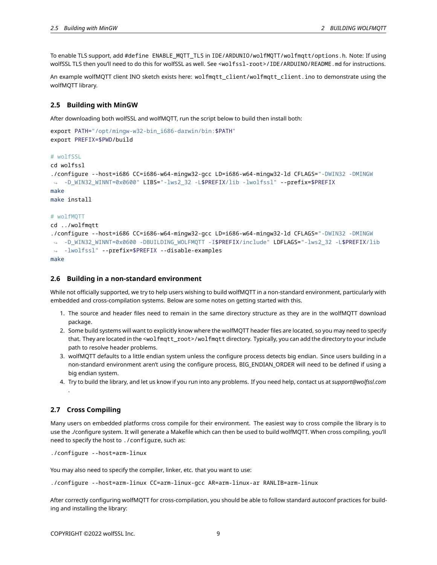To enable TLS support, add #define ENABLE\_MQTT\_TLS in IDE/ARDUNIO/wolfMQTT/wolfmqtt/options.h. Note: If using wolfSSL TLS then you'll need to do this for wolfSSL as well. See <wolfssl-root>/IDE/ARDUINO/README.md for instructions.

An example wolfMQTT client INO sketch exists here: wolfmqtt\_client/wolfmqtt\_client.ino to demonstrate using the wolfMQTT library.

# <span id="page-8-0"></span>**2.5 Building with MinGW**

After downloading both wolfSSL and wolfMQTT, run the script below to build then install both:

```
export PATH="/opt/mingw-w32-bin_i686-darwin/bin:$PATH"
export PREFIX=$PWD/build
# wolfSSL
cd wolfssl
./configure --host=i686 CC=i686-w64-mingw32-gcc LD=i686-w64-mingw32-ld CFLAGS="-DWIN32 -DMINGW
↪ -D_WIN32_WINNT=0x0600" LIBS="-lws2_32 -L$PREFIX/lib -lwolfssl" --prefix=$PREFIX
make
make install
# wolfMQTT
cd ../wolfmqtt
./configure --host=i686 CC=i686-w64-mingw32-gcc LD=i686-w64-mingw32-ld CFLAGS="-DWIN32 -DMINGW
 ↔ -D_WIN32_WINNT=0x0600 -DBUILDING_WOLFMQTT -I$PREFIX/include" LDFLAGS="-lws2_32 -L$PREFIX/lib
 ↔ -lwolfssl" --prefix=$PREFIX --disable-examples
make
```
#### <span id="page-8-1"></span>**2.6 Building in a non-standard environment**

While not officially supported, we try to help users wishing to build wolfMQTT in a non-standard environment, particularly with embedded and cross-compilation systems. Below are some notes on getting started with this.

- 1. The source and header files need to remain in the same directory structure as they are in the wolfMQTT download package.
- 2. Some build systems will want to explicitly know where the wolfMQTT header files are located, so you may need to specify that. They are located in the <wolfmqtt\_root>/wolfmqtt directory. Typically, you can add the directory to your include path to resolve header problems.
- 3. wolfMQTT defaults to a little endian system unless the configure process detects big endian. Since users building in a non-standard environment aren't using the configure process, BIG\_ENDIAN\_ORDER will need to be defined if using a big endian system.
- 4. Try to build the library, and let us know if you run into any problems. If you need help, contact us at *support@wolfssl.com*

# <span id="page-8-2"></span>**2.7 Cross Compiling**

.

Many users on embedded platforms cross compile for their environment. The easiest way to cross compile the library is to use the ./configure system. It will generate a Makefile which can then be used to build wolfMQTT. When cross compiling, you'll need to specify the host to ./configure, such as:

```
./configure --host=arm-linux
```
You may also need to specify the compiler, linker, etc. that you want to use:

```
./configure --host=arm-linux CC=arm-linux-gcc AR=arm-linux-ar RANLIB=arm-linux
```
After correctly configuring wolfMQTT for cross-compilation, you should be able to follow standard autoconf practices for building and installing the library: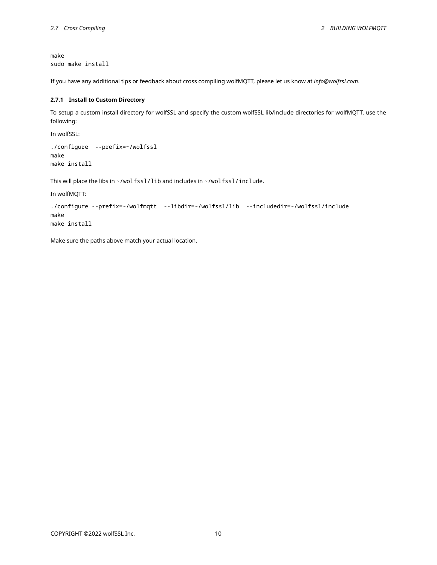make sudo make install

<span id="page-9-0"></span>If you have any additional tips or feedback about cross compiling wolfMQTT, please let us know at *info@wolfssl.com*.

#### **2.7.1 Install to Custom Directory**

To setup a custom install directory for wolfSSL and specify the custom wolfSSL lib/include directories for wolfMQTT, use the following:

In wolfSSL:

```
./configure --prefix=~/wolfssl
make
make install
```
This will place the libs in ~/wolfssl/lib and includes in ~/wolfssl/include.

In wolfMQTT:

```
./configure --prefix=~/wolfmqtt --libdir=~/wolfssl/lib --includedir=~/wolfssl/include
make
make install
```
<span id="page-9-1"></span>Make sure the paths above match your actual location.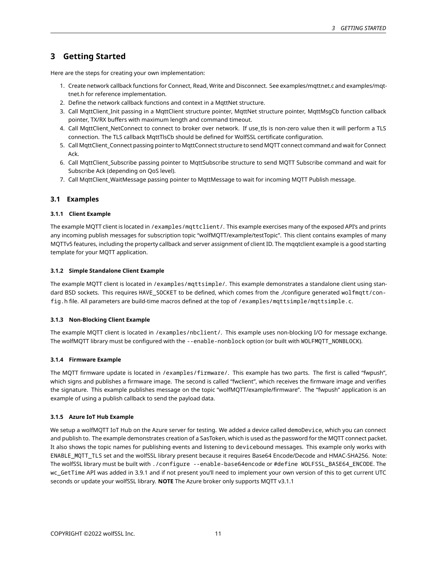# **3 Getting Started**

Here are the steps for creating your own implementation:

- 1. Create network callback functions for Connect, Read, Write and Disconnect. See examples/mqttnet.c and examples/mqttnet.h for reference implementation.
- 2. Define the network callback functions and context in a MqttNet structure.
- 3. Call MqttClient\_Init passing in a MqttClient structure pointer, MqttNet structure pointer, MqttMsgCb function callback pointer, TX/RX buffers with maximum length and command timeout.
- 4. Call MqttClient\_NetConnect to connect to broker over network. If use\_tls is non-zero value then it will perform a TLS connection. The TLS callback MqttTlsCb should be defined for WolfSSL certificate configuration.
- 5. Call MqttClient\_Connect passing pointer to MqttConnect structure to send MQTT connect command and wait for Connect Ack.
- 6. Call MqttClient\_Subscribe passing pointer to MqttSubscribe structure to send MQTT Subscribe command and wait for Subscribe Ack (depending on QoS level).
- <span id="page-10-0"></span>7. Call MqttClient\_WaitMessage passing pointer to MqttMessage to wait for incoming MQTT Publish message.

# **3.1 Examples**

# <span id="page-10-1"></span>**3.1.1 Client Example**

The example MQTT client is located in /examples/mqttclient/. This example exercises many of the exposed API's and prints any incoming publish messages for subscription topic "wolfMQTT/example/testTopic". This client contains examples of many MQTTv5 features, including the property callback and server assignment of client ID. The mqqtclient example is a good starting template for your MQTT application.

# <span id="page-10-2"></span>**3.1.2 Simple Standalone Client Example**

The example MQTT client is located in /examples/mqttsimple/. This example demonstrates a standalone client using standard BSD sockets. This requires HAVE\_SOCKET to be defined, which comes from the ./configure generated wolfmqtt/config.h file. All parameters are build-time macros defined at the top of /examples/mqttsimple/mqttsimple.c.

# <span id="page-10-3"></span>**3.1.3 Non-Blocking Client Example**

The example MQTT client is located in /examples/nbclient/. This example uses non-blocking I/O for message exchange. The wolfMQTT library must be configured with the --enable-nonblock option (or built with WOLFMQTT\_NONBLOCK).

# <span id="page-10-4"></span>**3.1.4 Firmware Example**

The MQTT firmware update is located in /examples/firmware/. This example has two parts. The first is called "fwpush", which signs and publishes a firmware image. The second is called "fwclient", which receives the firmware image and verifies the signature. This example publishes message on the topic "wolfMQTT/example/firmware". The "fwpush" application is an example of using a publish callback to send the payload data.

# <span id="page-10-5"></span>**3.1.5 Azure IoT Hub Example**

<span id="page-10-6"></span>We setup a wolfMQTT IoT Hub on the Azure server for testing. We added a device called demoDevice, which you can connect and publish to. The example demonstrates creation of a SasToken, which is used as the password for the MQTT connect packet. It also shows the topic names for publishing events and listening to devicebound messages. This example only works with ENABLE\_MQTT\_TLS set and the wolfSSL library present because it requires Base64 Encode/Decode and HMAC-SHA256. Note: The wolfSSL library must be built with ./configure --enable-base64encode or #define WOLFSSL\_BASE64\_ENCODE. The wc GetTime API was added in 3.9.1 and if not present you'll need to implement your own version of this to get current UTC seconds or update your wolfSSL library. **NOTE** The Azure broker only supports MQTT v3.1.1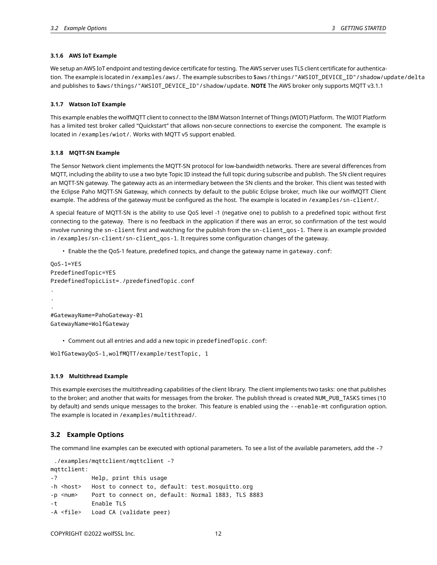#### **3.1.6 AWS IoT Example**

We setup an AWS IoT endpoint and testing device certificate for testing. The AWS server uses TLS client certificate for authentication. The example is located in /examples/aws/. The example subscribes to \$aws/things/"AWSIOT\_DEVICE\_ID"/shadow/update/delta and publishes to \$aws/things/"AWSIOT\_DEVICE\_ID"/shadow/update. **NOTE** The AWS broker only supports MQTT v3.1.1

### <span id="page-11-0"></span>**3.1.7 Watson IoT Example**

This example enables the wolfMQTT client to connect to the IBM Watson Internet of Things (WIOT) Platform. The WIOT Platform has a limited test broker called "Quickstart" that allows non-secure connections to exercise the component. The example is located in /examples/wiot/. Works with MQTT v5 support enabled.

### <span id="page-11-1"></span>**3.1.8 MQTT-SN Example**

The Sensor Network client implements the MQTT-SN protocol for low-bandwidth networks. There are several differences from MQTT, including the ability to use a two byte Topic ID instead the full topic during subscribe and publish. The SN client requires an MQTT-SN gateway. The gateway acts as an intermediary between the SN clients and the broker. This client was tested with the Eclipse Paho MQTT-SN Gateway, which connects by default to the public Eclipse broker, much like our wolfMQTT Client example. The address of the gateway must be configured as the host. The example is located in /examples/sn-client/.

A special feature of MQTT-SN is the ability to use QoS level -1 (negative one) to publish to a predefined topic without first connecting to the gateway. There is no feedback in the application if there was an error, so confirmation of the test would involve running the sn-client first and watching for the publish from the sn-client\_qos-1. There is an example provided in /examples/sn-client/sn-client\_qos-1. It requires some configuration changes of the gateway.

• Enable the the QoS-1 feature, predefined topics, and change the gateway name in gateway.conf:

```
QoS-1=YES
PredefinedTopic=YES
PredefinedTopicList=./predefinedTopic.conf
.
.
.
#GatewayName=PahoGateway-01
GatewayName=WolfGateway
```
• Comment out all entries and add a new topic in predefinedTopic.conf:

```
WolfGatewayQoS-1,wolfMQTT/example/testTopic, 1
```
### <span id="page-11-2"></span>**3.1.9 Multithread Example**

This example exercises the multithreading capabilities of the client library. The client implements two tasks: one that publishes to the broker; and another that waits for messages from the broker. The publish thread is created NUM\_PUB\_TASKS times (10 by default) and sends unique messages to the broker. This feature is enabled using the --enable-mt configuration option. The example is located in /examples/multithread/.

### <span id="page-11-3"></span>**3.2 Example Options**

The command line examples can be executed with optional parameters. To see a list of the available parameters, add the -?

```
./examples/mqttclient/mqttclient -?
mqttclient:
-? Help, print this usage
-h <host> Host to connect to, default: test.mosquitto.org
-p <num> Port to connect on, default: Normal 1883, TLS 8883
-t Enable TLS
-A <file> Load CA (validate peer)
```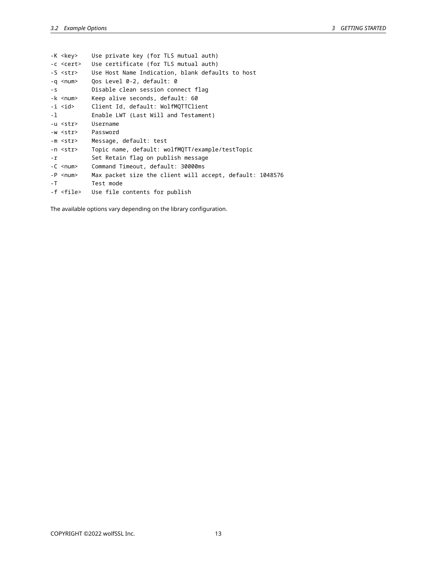| Use private key (for TLS mutual auth)                              |
|--------------------------------------------------------------------|
| Use certificate (for TLS mutual auth)<br>-c <cert></cert>          |
| Use Host Name Indication, blank defaults to host<br>-S <str></str> |
| Qos Level 0-2, default: 0                                          |
| Disable clean session connect flag                                 |
| Keep alive seconds, default: 60                                    |
| Client Id, default: WolfMQTTClient                                 |
| Enable LWT (Last Will and Testament)                               |
| Username<br>-u <str></str>                                         |
| Password<br>-w <str></str>                                         |
| Message, default: test<br>-m <str></str>                           |
| Topic name, default: wolfMQTT/example/testTopic                    |
| Set Retain flag on publish message                                 |
| Command Timeout, default: 30000ms                                  |
| Max packet size the client will accept, default: 1048576           |
| Test mode                                                          |
| -f <file> Use file contents for publish</file>                     |
|                                                                    |

<span id="page-12-0"></span>The available options vary depending on the library configuration.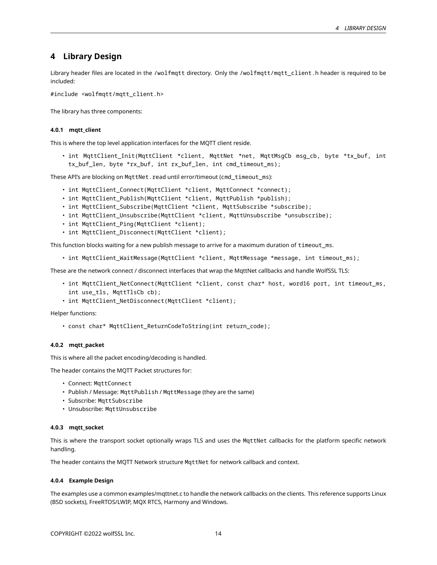# **4 Library Design**

Library header files are located in the /wolfmqtt directory. Only the /wolfmqtt/mqtt\_client.h header is required to be included:

#include <wolfmqtt/mqtt\_client.h>

<span id="page-13-0"></span>The library has three components:

### **4.0.1 mqtt\_client**

This is where the top level application interfaces for the MQTT client reside.

• int MqttClient\_Init(MqttClient \*client, MqttNet \*net, MqttMsgCb msg\_cb, byte \*tx\_buf, int tx\_buf\_len, byte \*rx\_buf, int rx\_buf\_len, int cmd\_timeout\_ms);

These API's are blocking on MqttNet.read until error/timeout (cmd\_timeout\_ms):

- int MqttClient Connect(MqttClient \*client, MqttConnect \*connect);
- int MqttClient\_Publish(MqttClient \*client, MqttPublish \*publish);
- int MqttClient\_Subscribe(MqttClient \*client, MqttSubscribe \*subscribe);
- int MqttClient\_Unsubscribe(MqttClient \*client, MqttUnsubscribe \*unsubscribe);
- int MqttClient\_Ping(MqttClient \*client);
- int MqttClient\_Disconnect(MqttClient \*client);

This function blocks waiting for a new publish message to arrive for a maximum duration of timeout ms.

• int MqttClient\_WaitMessage(MqttClient \*client, MqttMessage \*message, int timeout\_ms);

These are the network connect / disconnect interfaces that wrap the MqttNet callbacks and handle WolfSSL TLS:

- int MqttClient\_NetConnect(MqttClient \*client, const char\* host, word16 port, int timeout\_ms, int use\_tls, MqttTlsCb cb);
- int MqttClient\_NetDisconnect(MqttClient \*client);

Helper functions:

<span id="page-13-1"></span>• const char\* MqttClient\_ReturnCodeToString(int return\_code);

#### **4.0.2 mqtt\_packet**

This is where all the packet encoding/decoding is handled.

The header contains the MQTT Packet structures for:

- Connect: MqttConnect
- Publish / Message: MqttPublish / MqttMessage (they are the same)
- Subscribe: MqttSubscribe
- Unsubscribe: MqttUnsubscribe

# <span id="page-13-2"></span>**4.0.3 mqtt\_socket**

This is where the transport socket optionally wraps TLS and uses the MqttNet callbacks for the platform specific network handling.

<span id="page-13-3"></span>The header contains the MQTT Network structure MqttNet for network callback and context.

#### **4.0.4 Example Design**

<span id="page-13-4"></span>The examples use a common examples/mqttnet.c to handle the network callbacks on the clients. This reference supports Linux (BSD sockets), FreeRTOS/LWIP, MQX RTCS, Harmony and Windows.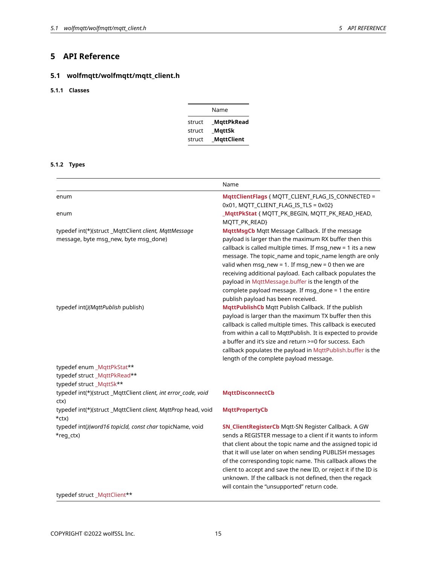# **5 API Reference**

# <span id="page-14-0"></span>**5.1 wolfmqtt/wolfmqtt/mqtt\_client.h**

# <span id="page-14-1"></span>**5.1.1 Classes**

| Name   |                   |
|--------|-------------------|
| struct | <b>MgttPkRead</b> |
| struct | MqttSk            |
| struct | <b>MgttClient</b> |

# <span id="page-14-2"></span>**5.1.2 Types**

|                                                                                                                                     | Name                                                                                                                                                                                                                                                                                                                                                                                                                                                                                                                                                                  |
|-------------------------------------------------------------------------------------------------------------------------------------|-----------------------------------------------------------------------------------------------------------------------------------------------------------------------------------------------------------------------------------------------------------------------------------------------------------------------------------------------------------------------------------------------------------------------------------------------------------------------------------------------------------------------------------------------------------------------|
| enum                                                                                                                                | MqttClientFlags { MQTT_CLIENT_FLAG_IS_CONNECTED =<br>0x01, MQTT_CLIENT_FLAG_IS_TLS = 0x02}                                                                                                                                                                                                                                                                                                                                                                                                                                                                            |
| enum                                                                                                                                | MQTT_PK_READ}                                                                                                                                                                                                                                                                                                                                                                                                                                                                                                                                                         |
| typedef int(*)(struct_MqttClient client, MqttMessage<br>message, byte msg_new, byte msg_done)<br>typedef int()(MqttPublish publish) | MqttMsgCb Mqtt Message Callback. If the message<br>payload is larger than the maximum RX buffer then this<br>callback is called multiple times. If msg_new = 1 its a new<br>message. The topic_name and topic_name length are only<br>valid when $msg_new = 1$ . If $msg_new = 0$ then we are<br>receiving additional payload. Each callback populates the<br>payload in MqttMessage.buffer is the length of the<br>complete payload message. If msg_done = 1 the entire<br>publish payload has been received.<br>MqttPublishCb Mqtt Publish Callback. If the publish |
|                                                                                                                                     | payload is larger than the maximum TX buffer then this<br>callback is called multiple times. This callback is executed<br>from within a call to MqttPublish. It is expected to provide<br>a buffer and it's size and return >=0 for success. Each<br>callback populates the payload in MqttPublish.buffer is the<br>length of the complete payload message.                                                                                                                                                                                                           |
| typedef enum_MqttPkStat**<br>typedef struct_MqttPkRead**                                                                            |                                                                                                                                                                                                                                                                                                                                                                                                                                                                                                                                                                       |
| typedef struct_MqttSk**<br>typedef int(*)(struct_MqttClient client, int error_code, void<br>ctx)                                    | <b>MqttDisconnectCb</b>                                                                                                                                                                                                                                                                                                                                                                                                                                                                                                                                               |
| typedef int(*)(struct_MqttClient client, MqttProp head, void<br>$*$ ctx)                                                            | <b>MqttPropertyCb</b>                                                                                                                                                                                                                                                                                                                                                                                                                                                                                                                                                 |
| typedef int()(word16 topicId, const char topicName, void<br>*req_ctx)                                                               | SN_ClientRegisterCb Mqtt-SN Register Callback. A GW<br>sends a REGISTER message to a client if it wants to inform<br>that client about the topic name and the assigned topic id<br>that it will use later on when sending PUBLISH messages<br>of the corresponding topic name. This callback allows the<br>client to accept and save the new ID, or reject it if the ID is<br>unknown. If the callback is not defined, then the regack<br>will contain the "unsupported" return code.                                                                                 |
| والمستورث والتماسية المتقارب والمستنس والمستور والمستورة والمستورة والمستورة                                                        |                                                                                                                                                                                                                                                                                                                                                                                                                                                                                                                                                                       |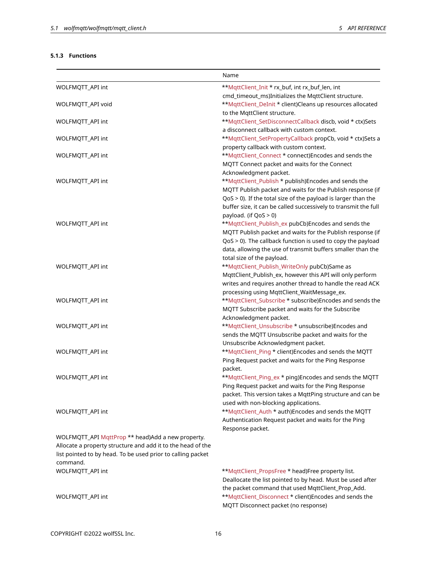# <span id="page-15-0"></span>**5.1.3 Functions**

|                                                             | Name                                                                        |
|-------------------------------------------------------------|-----------------------------------------------------------------------------|
| WOLFMQTT_API int                                            | **MqttClient_Init * rx_buf, int rx_buf_len, int                             |
|                                                             | cmd_timeout_ms)Initializes the MqttClient structure.                        |
| WOLFMQTT_API void                                           | **MqttClient_DeInit * client)Cleans up resources allocated                  |
|                                                             | to the MqttClient structure.                                                |
| WOLFMQTT_API int                                            | **MqttClient_SetDisconnectCallback discb, void * ctx)Sets                   |
|                                                             | a disconnect callback with custom context.                                  |
| WOLFMQTT_API int                                            | **MqttClient_SetPropertyCallback propCb, void * ctx)Sets a                  |
|                                                             | property callback with custom context.                                      |
| WOLFMQTT_API int                                            | **MqttClient_Connect * connect)Encodes and sends the                        |
|                                                             | MQTT Connect packet and waits for the Connect                               |
|                                                             | Acknowledgment packet.                                                      |
| WOLFMQTT_API int                                            | **MqttClient_Publish * publish)Encodes and sends the                        |
|                                                             | MQTT Publish packet and waits for the Publish response (if                  |
|                                                             | $QoS > 0$ ). If the total size of the payload is larger than the            |
|                                                             | buffer size, it can be called successively to transmit the full             |
|                                                             | payload. (if $QoS > 0$ )                                                    |
| WOLFMQTT_API int                                            | **MqttClient_Publish_ex pubCb)Encodes and sends the                         |
|                                                             | MQTT Publish packet and waits for the Publish response (if                  |
|                                                             | QoS > 0). The callback function is used to copy the payload                 |
|                                                             | data, allowing the use of transmit buffers smaller than the                 |
|                                                             | total size of the payload.                                                  |
| WOLFMQTT_API int                                            | **MqttClient_Publish_WriteOnly pubCb)Same as                                |
|                                                             | MqttClient_Publish_ex, however this API will only perform                   |
|                                                             | writes and requires another thread to handle the read ACK                   |
|                                                             | processing using MqttClient_WaitMessage_ex.                                 |
| WOLFMQTT_API int                                            | **MqttClient_Subscribe * subscribe)Encodes and sends the                    |
|                                                             | MQTT Subscribe packet and waits for the Subscribe<br>Acknowledgment packet. |
| WOLFMQTT_API int                                            | **MqttClient_Unsubscribe * unsubscribe)Encodes and                          |
|                                                             | sends the MQTT Unsubscribe packet and waits for the                         |
|                                                             | Unsubscribe Acknowledgment packet.                                          |
| WOLFMQTT_API int                                            | **MqttClient_Ping * client)Encodes and sends the MQTT                       |
|                                                             | Ping Request packet and waits for the Ping Response                         |
|                                                             | packet.                                                                     |
| WOLFMQTT_API int                                            | **MqttClient_Ping_ex * ping)Encodes and sends the MQTT                      |
|                                                             | Ping Request packet and waits for the Ping Response                         |
|                                                             | packet. This version takes a MqttPing structure and can be                  |
|                                                             | used with non-blocking applications.                                        |
| WOLFMQTT_API int                                            | **MqttClient_Auth * auth)Encodes and sends the MQTT                         |
|                                                             | Authentication Request packet and waits for the Ping                        |
|                                                             | Response packet.                                                            |
| WOLFMQTT_API MqttProp ** head)Add a new property.           |                                                                             |
| Allocate a property structure and add it to the head of the |                                                                             |
| list pointed to by head. To be used prior to calling packet |                                                                             |
| command.                                                    |                                                                             |
| WOLFMQTT_API int                                            | **MqttClient_PropsFree * head)Free property list.                           |
|                                                             | Deallocate the list pointed to by head. Must be used after                  |
|                                                             | the packet command that used MqttClient_Prop_Add.                           |
| WOLFMQTT_API int                                            | **MqttClient_Disconnect * client)Encodes and sends the                      |
|                                                             | MQTT Disconnect packet (no response)                                        |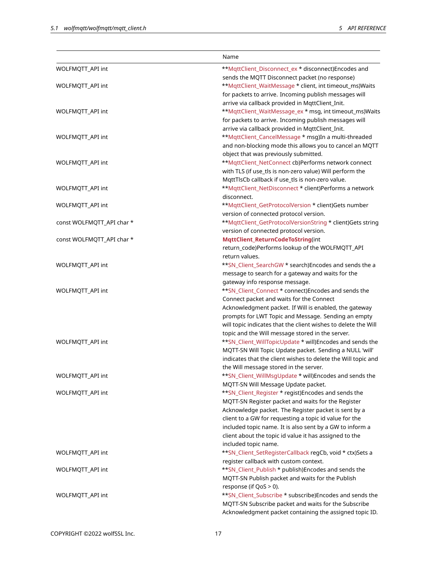|                           | Name                                                                                                    |
|---------------------------|---------------------------------------------------------------------------------------------------------|
| WOLFMQTT_API int          | **MqttClient_Disconnect_ex * disconnect)Encodes and                                                     |
|                           | sends the MQTT Disconnect packet (no response)                                                          |
| WOLFMQTT_API int          | **MqttClient_WaitMessage * client, int timeout_ms)Waits                                                 |
|                           | for packets to arrive. Incoming publish messages will                                                   |
|                           | arrive via callback provided in MqttClient_Init.                                                        |
| WOLFMQTT_API int          | **MqttClient_WaitMessage_ex * msg, int timeout_ms)Waits                                                 |
|                           | for packets to arrive. Incoming publish messages will                                                   |
|                           | arrive via callback provided in MqttClient_Init.                                                        |
| WOLFMQTT_API int          | **MqttClient_CancelMessage * msg)In a multi-threaded                                                    |
|                           | and non-blocking mode this allows you to cancel an MQTT                                                 |
|                           | object that was previously submitted.                                                                   |
| WOLFMQTT_API int          | **MqttClient_NetConnect cb)Performs network connect                                                     |
|                           | with TLS (if use_tls is non-zero value) Will perform the                                                |
|                           | MqttTlsCb callback if use_tls is non-zero value.                                                        |
| WOLFMQTT_API int          | **MqttClient_NetDisconnect * client)Performs a network<br>disconnect.                                   |
| WOLFMQTT_API int          | **MqttClient_GetProtocolVersion * client)Gets number                                                    |
|                           | version of connected protocol version.                                                                  |
| const WOLFMQTT_API char * | **MqttClient_GetProtocolVersionString * client)Gets string                                              |
|                           | version of connected protocol version.                                                                  |
| const WOLFMQTT_API char * | MqttClient_ReturnCodeToString(int                                                                       |
|                           | return_code)Performs lookup of the WOLFMQTT_API                                                         |
|                           | return values.                                                                                          |
| WOLFMQTT_API int          | **SN_Client_SearchGW * search)Encodes and sends the a                                                   |
|                           | message to search for a gateway and waits for the                                                       |
|                           | gateway info response message.                                                                          |
| WOLFMQTT_API int          | ** SN_Client_Connect * connect) Encodes and sends the                                                   |
|                           | Connect packet and waits for the Connect                                                                |
|                           | Acknowledgment packet. If Will is enabled, the gateway                                                  |
|                           | prompts for LWT Topic and Message. Sending an empty                                                     |
|                           | will topic indicates that the client wishes to delete the Will                                          |
|                           | topic and the Will message stored in the server.                                                        |
| WOLFMQTT_API int          | **SN_Client_WillTopicUpdate * will)Encodes and sends the                                                |
|                           | MQTT-SN Will Topic Update packet. Sending a NULL 'will'                                                 |
|                           | indicates that the client wishes to delete the Will topic and<br>the Will message stored in the server. |
| WOLFMQTT_API int          | **SN_Client_WillMsgUpdate * will)Encodes and sends the                                                  |
|                           | MQTT-SN Will Message Update packet.                                                                     |
| WOLFMQTT_API int          | **SN_Client_Register * regist)Encodes and sends the                                                     |
|                           | MQTT-SN Register packet and waits for the Register                                                      |
|                           | Acknowledge packet. The Register packet is sent by a                                                    |
|                           | client to a GW for requesting a topic id value for the                                                  |
|                           | included topic name. It is also sent by a GW to inform a                                                |
|                           | client about the topic id value it has assigned to the                                                  |
|                           | included topic name.                                                                                    |
| WOLFMOTT API int          | **SN_Client_SetRegisterCallback regCb, void * ctx)Sets a                                                |
|                           | register callback with custom context.                                                                  |
| WOLFMQTT_API int          | **SN_Client_Publish * publish)Encodes and sends the                                                     |
|                           | MQTT-SN Publish packet and waits for the Publish                                                        |
|                           | response (if QoS > 0).                                                                                  |
| WOLFMQTT_API int          | **SN_Client_Subscribe * subscribe)Encodes and sends the                                                 |
|                           | MQTT-SN Subscribe packet and waits for the Subscribe                                                    |
|                           | Acknowledgment packet containing the assigned topic ID.                                                 |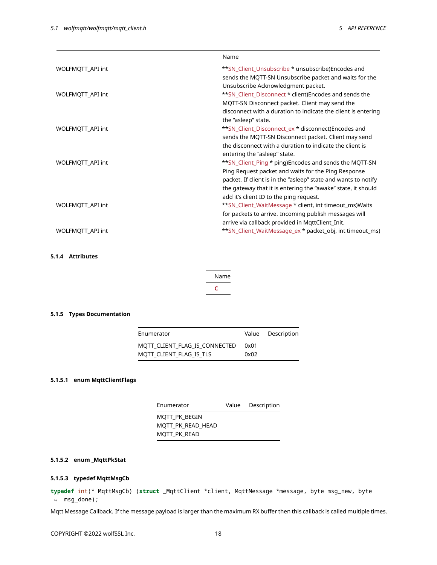|                  | Name                                                           |
|------------------|----------------------------------------------------------------|
| WOLFMQTT_API int | **SN_Client_Unsubscribe * unsubscribe)Encodes and              |
|                  | sends the MQTT-SN Unsubscribe packet and waits for the         |
|                  | Unsubscribe Acknowledgment packet.                             |
| WOLFMQTT_API int | <b>**SN</b> Client Disconnect * client) Encodes and sends the  |
|                  | MQTT-SN Disconnect packet. Client may send the                 |
|                  | disconnect with a duration to indicate the client is entering  |
|                  | the "asleep" state.                                            |
| WOLFMQTT_API int | **SN_Client_Disconnect_ex * disconnect)Encodes and             |
|                  | sends the MQTT-SN Disconnect packet. Client may send           |
|                  | the disconnect with a duration to indicate the client is       |
|                  | entering the "asleep" state.                                   |
| WOLFMQTT_API int | **SN_Client_Ping * ping)Encodes and sends the MQTT-SN          |
|                  | Ping Request packet and waits for the Ping Response            |
|                  | packet. If client is in the "asleep" state and wants to notify |
|                  | the gateway that it is entering the "awake" state, it should   |
|                  | add it's client ID to the ping request.                        |
| WOLFMQTT_API int | <b>**SN_Client_WaitMessage * client, int timeout_ms)Waits</b>  |
|                  | for packets to arrive. Incoming publish messages will          |
|                  | arrive via callback provided in MqttClient_Init.               |
| WOLFMQTT_API int | **SN_Client_WaitMessage_ex * packet_obj, int timeout_ms)       |

# <span id="page-17-0"></span>**5.1.4 Attributes**

| Name |
|------|
|      |

# <span id="page-17-2"></span><span id="page-17-1"></span>**5.1.5 Types Documentation**

| Enumerator                    |      | Value Description |
|-------------------------------|------|-------------------|
| MOTT CLIENT FLAG IS CONNECTED | 0x01 |                   |
| MOTT_CLIENT_FLAG_IS_TLS       | 0x02 |                   |

# **5.1.5.1 enum MqttClientFlags**

| Enumerator        | Value Description |
|-------------------|-------------------|
| MOTT PK BEGIN     |                   |
| MOTT PK READ HEAD |                   |
| MOTT PK READ      |                   |

# <span id="page-17-3"></span>**5.1.5.2 enum \_MqttPkStat**

# **5.1.5.3 typedef MqttMsgCb**

**typedef** int(\* MqttMsgCb) (**struct** \_MqttClient \*client, MqttMessage \*message, byte msg\_new, byte ↪ msg\_done);

Mqtt Message Callback. If the message payload is larger than the maximum RX buffer then this callback is called multiple times.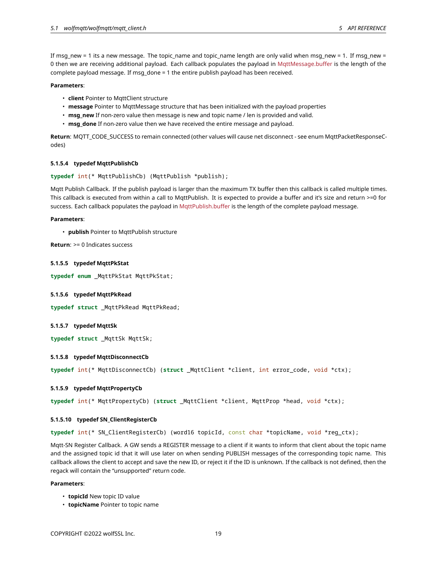If msg\_new = 1 its a new message. The topic\_name and topic\_name length are only valid when msg\_new = 1. If msg\_new = 0 then we are receiving additional payload. Each callback populates the payload in MqttMessage.buffer is the length of the complete payload message. If msg\_done = 1 the entire publish payload has been received.

#### **Parameters**:

- **client** Pointer to MqttClient structure
- **message** Pointer to MqttMessage structure that has been initialized with the payload properties
- **msg new** If non-zero value then message is new and topic name / len is provided and valid.
- **msg\_done** If non-zero value then we have received the entire message and payload.

**Return**: MQTT\_CODE\_SUCCESS to remain connected (other values will cause net disconnect - see enum MqttPacketResponseCodes)

#### <span id="page-18-0"></span>**5.1.5.4 typedef MqttPublishCb**

#### **typedef** int(\* MqttPublishCb) (MqttPublish \*publish);

Mqtt Publish Callback. If the publish payload is larger than the maximum TX buffer then this callback is called multiple times. This callback is executed from within a call to MqttPublish. It is expected to provide a buffer and it's size and return >=0 for success. Each callback populates the payload in MqttPublish.buffer is the length of the complete payload message.

#### **Parameters**:

• **publish** Pointer to MqttPublish structure

<span id="page-18-1"></span>**Return**: >= 0 Indicates success

#### **5.1.5.5 typedef MqttPkStat**

<span id="page-18-2"></span>**typedef enum** \_MqttPkStat MqttPkStat;

### **5.1.5.6 typedef MqttPkRead**

<span id="page-18-3"></span>**typedef struct** \_MqttPkRead MqttPkRead;

### **5.1.5.7 typedef MqttSk**

<span id="page-18-4"></span>**typedef struct** \_MqttSk MqttSk;

#### **5.1.5.8 typedef MqttDisconnectCb**

<span id="page-18-5"></span>**typedef** int(\* MqttDisconnectCb) (**struct** \_MqttClient \*client, int error\_code, void \*ctx);

#### **5.1.5.9 typedef MqttPropertyCb**

**typedef** int(\* MqttPropertyCb) (**struct** \_MqttClient \*client, MqttProp \*head, void \*ctx);

### **5.1.5.10 typedef SN\_ClientRegisterCb**

**typedef** int(\* SN\_ClientRegisterCb) (word16 topicId, const char \*topicName, void \*reg\_ctx);

Mqtt-SN Register Callback. A GW sends a REGISTER message to a client if it wants to inform that client about the topic name and the assigned topic id that it will use later on when sending PUBLISH messages of the corresponding topic name. This callback allows the client to accept and save the new ID, or reject it if the ID is unknown. If the callback is not defined, then the regack will contain the "unsupported" return code.

#### **Parameters**:

- **topicId** New topic ID value
- **topicName** Pointer to topic name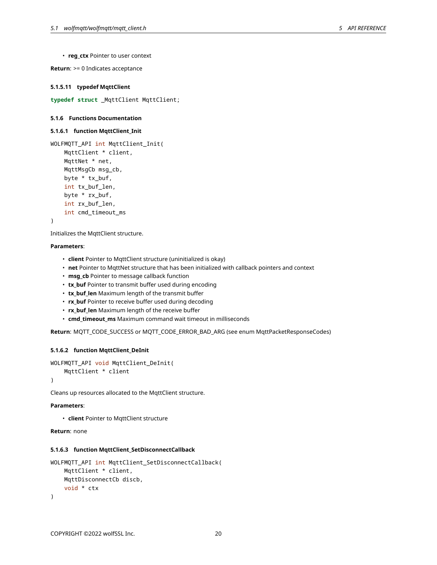```
• reg_ctx Pointer to user context
```
<span id="page-19-1"></span>**Return**: >= 0 Indicates acceptance

#### **5.1.5.11 typedef MqttClient**

<span id="page-19-0"></span>**typedef struct** \_MqttClient MqttClient;

### **5.1.6 Functions Documentation**

# **5.1.6.1 function MqttClient\_Init**

```
WOLFMQTT_API int MqttClient_Init(
    MqttClient * client,
    MqttNet * net,
    MqttMsgCb msg_cb,
    byte * tx_buf,
    int tx_buf_len,
    byte * rx_buf,
    int rx_buf_len,
    int cmd_timeout_ms
```

```
)
```
Initializes the MqttClient structure.

#### **Parameters**:

- **client** Pointer to MqttClient structure (uninitialized is okay)
- **net** Pointer to MqttNet structure that has been initialized with callback pointers and context
- **msg\_cb** Pointer to message callback function
- **tx buf** Pointer to transmit buffer used during encoding
- **tx\_buf\_len** Maximum length of the transmit buffer
- **rx\_buf** Pointer to receive buffer used during decoding
- **rx\_buf\_len** Maximum length of the receive buffer
- **cmd\_timeout\_ms** Maximum command wait timeout in milliseconds

**Return**: MQTT\_CODE\_SUCCESS or MQTT\_CODE\_ERROR\_BAD\_ARG (see enum MqttPacketResponseCodes)

#### **5.1.6.2 function MqttClient\_DeInit**

```
WOLFMQTT_API void MqttClient_DeInit(
    MqttClient * client
```
)

Cleans up resources allocated to the MqttClient structure.

### **Parameters**:

• **client** Pointer to MqttClient structure

**Return**: none

#### **5.1.6.3 function MqttClient\_SetDisconnectCallback**

```
WOLFMQTT_API int MqttClient_SetDisconnectCallback(
    MqttClient * client,
    MqttDisconnectCb discb,
    void * ctx
)
```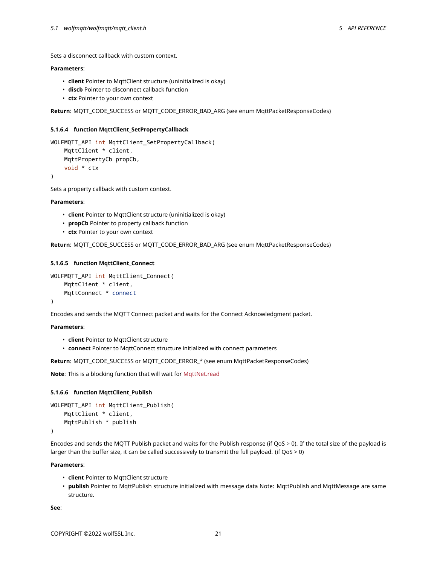Sets a disconnect callback with custom context.

# **Parameters**:

- **client** Pointer to MqttClient structure (uninitialized is okay)
- **discb** Pointer to disconnect callback function
- **ctx** Pointer to your own context

**Return**: MQTT\_CODE\_SUCCESS or MQTT\_CODE\_ERROR\_BAD\_ARG (see enum MqttPacketResponseCodes)

### **5.1.6.4 function MqttClient\_SetPropertyCallback**

```
WOLFMQTT_API int MqttClient_SetPropertyCallback(
    MqttClient * client,
    MqttPropertyCb propCb,
    void * ctx
)
```
Sets a property callback with custom context.

# **Parameters**:

- **client** Pointer to MqttClient structure (uninitialized is okay)
- **propCb** Pointer to property callback function
- **ctx** Pointer to your own context

**Return**: MQTT\_CODE\_SUCCESS or MQTT\_CODE\_ERROR\_BAD\_ARG (see enum MqttPacketResponseCodes)

# **5.1.6.5 function MqttClient\_Connect**

```
WOLFMQTT_API int MqttClient_Connect(
    MqttClient * client,
    MqttConnect * connect
)
```
Encodes and sends the MQTT Connect packet and waits for the Connect Acknowledgment packet.

#### **Parameters**:

- **client** Pointer to MqttClient structure
- **connect** Pointer to MqttConnect structure initialized with connect parameters

**Return**: MQTT\_CODE\_SUCCESS or MQTT\_CODE\_ERROR\_\* (see enum MqttPacketResponseCodes)

**Note**: This is a blocking function that will wait for MqttNet.read

### **5.1.6.6 function MqttClient\_Publish**

```
WOLFMQTT API int MqttClient Publish(
    MqttClient * client,
    MqttPublish * publish
)
```
Encodes and sends the MQTT Publish packet and waits for the Publish response (if QoS > 0). If the total size of the payload is larger than the buffer size, it can be called successively to transmit the full payload. (if QoS > 0)

#### **Parameters**:

- **client** Pointer to MqttClient structure
- **publish** Pointer to MqttPublish structure initialized with message data Note: MqttPublish and MqttMessage are same structure.

**See**: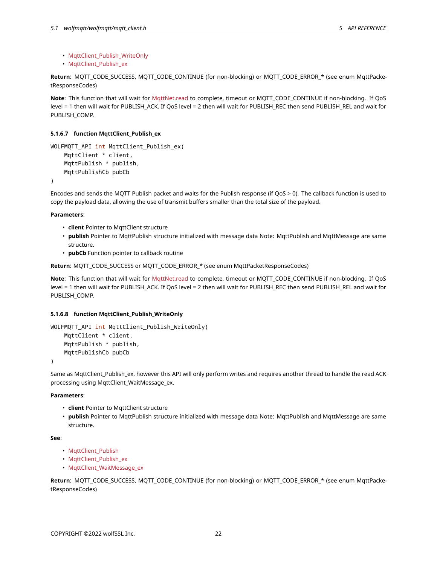- MqttClient\_Publish\_WriteOnly
- MqttClient\_Publish\_ex

**Return**: MQTT\_CODE\_SUCCESS, MQTT\_CODE\_CONTINUE (for non-blocking) or MQTT\_CODE\_ERROR\_\* (see enum MqttPacketResponseCodes)

**Note**: This function that will wait for MqttNet.read to complete, timeout or MQTT\_CODE\_CONTINUE if non-blocking. If QoS level = 1 then will wait for PUBLISH\_ACK. If QoS level = 2 then will wait for PUBLISH\_REC then send PUBLISH\_REL and wait for PUBLISH\_COMP.

# **5.1.6.7 function MqttClient\_Publish\_ex**

```
WOLFMQTT_API int MqttClient_Publish_ex(
    MqttClient * client,
    MqttPublish * publish,
    MqttPublishCb pubCb
```
)

Encodes and sends the MQTT Publish packet and waits for the Publish response (if QoS > 0). The callback function is used to copy the payload data, allowing the use of transmit buffers smaller than the total size of the payload.

#### **Parameters**:

- **client** Pointer to MqttClient structure
- **publish** Pointer to MqttPublish structure initialized with message data Note: MqttPublish and MqttMessage are same structure.
- **pubCb** Function pointer to callback routine

**Return**: MQTT\_CODE\_SUCCESS or MQTT\_CODE\_ERROR\_\* (see enum MqttPacketResponseCodes)

**Note**: This function that will wait for MqttNet.read to complete, timeout or MQTT\_CODE\_CONTINUE if non-blocking. If QoS level = 1 then will wait for PUBLISH\_ACK. If QoS level = 2 then will wait for PUBLISH\_REC then send PUBLISH\_REL and wait for PUBLISH\_COMP.

### **5.1.6.8 function MqttClient\_Publish\_WriteOnly**

```
WOLFMQTT_API int MqttClient_Publish_WriteOnly(
    MqttClient * client,
    MqttPublish * publish,
    MqttPublishCb pubCb
```
)

Same as MqttClient\_Publish\_ex, however this API will only perform writes and requires another thread to handle the read ACK processing using MqttClient\_WaitMessage\_ex.

### **Parameters**:

- **client** Pointer to MqttClient structure
- **publish** Pointer to MqttPublish structure initialized with message data Note: MqttPublish and MqttMessage are same structure.

#### **See**:

- MattClient Publish
- MqttClient\_Publish\_ex
- MqttClient\_WaitMessage\_ex

**Return**: MQTT\_CODE\_SUCCESS, MQTT\_CODE\_CONTINUE (for non-blocking) or MQTT\_CODE\_ERROR\_\* (see enum MqttPacketResponseCodes)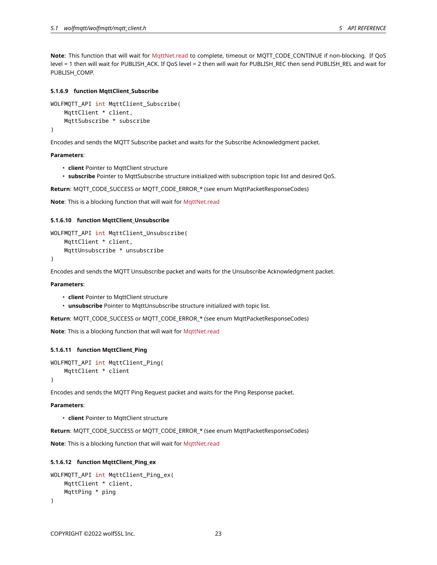**Note**: This function that will wait for MqttNet.read to complete, timeout or MQTT\_CODE\_CONTINUE if non-blocking. If QoS level = 1 then will wait for PUBLISH\_ACK. If QoS level = 2 then will wait for PUBLISH\_REC then send PUBLISH\_REL and wait for PUBLISH\_COMP.

# **5.1.6.9 function MqttClient\_Subscribe**

```
WOLFMQTT_API int MqttClient_Subscribe(
    MqttClient * client,
    MqttSubscribe * subscribe
)
```
Encodes and sends the MQTT Subscribe packet and waits for the Subscribe Acknowledgment packet.

### **Parameters**:

- **client** Pointer to MqttClient structure
- **subscribe** Pointer to MqttSubscribe structure initialized with subscription topic list and desired QoS.

**Return**: MQTT\_CODE\_SUCCESS or MQTT\_CODE\_ERROR\_\* (see enum MqttPacketResponseCodes)

**Note**: This is a blocking function that will wait for MqttNet.read

## **5.1.6.10 function MqttClient\_Unsubscribe**

```
WOLFMQTT_API int MqttClient_Unsubscribe(
    MqttClient * client,
    MqttUnsubscribe * unsubscribe
)
```
Encodes and sends the MQTT Unsubscribe packet and waits for the Unsubscribe Acknowledgment packet.

#### **Parameters**:

```
• client Pointer to MqttClient structure
```
• **unsubscribe** Pointer to MqttUnsubscribe structure initialized with topic list.

**Return**: MQTT\_CODE\_SUCCESS or MQTT\_CODE\_ERROR\_\* (see enum MqttPacketResponseCodes)

**Note**: This is a blocking function that will wait for MqttNet.read

#### **5.1.6.11 function MqttClient\_Ping**

```
WOLFMQTT_API int MqttClient_Ping(
    MqttClient * client
```
)

Encodes and sends the MQTT Ping Request packet and waits for the Ping Response packet.

#### **Parameters**:

• **client** Pointer to MqttClient structure

**Return**: MQTT\_CODE\_SUCCESS or MQTT\_CODE\_ERROR\_\* (see enum MqttPacketResponseCodes)

**Note**: This is a blocking function that will wait for MqttNet.read

# **5.1.6.12 function MqttClient\_Ping\_ex**

```
WOLFMQTT_API int MqttClient_Ping_ex(
    MqttClient * client,
    MqttPing * ping
)
```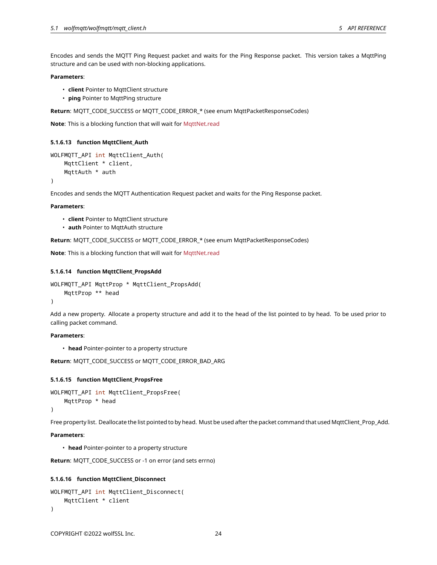Encodes and sends the MQTT Ping Request packet and waits for the Ping Response packet. This version takes a MqttPing structure and can be used with non-blocking applications.

#### **Parameters**:

- **client** Pointer to MqttClient structure
- **ping** Pointer to MqttPing structure

**Return**: MQTT\_CODE\_SUCCESS or MQTT\_CODE\_ERROR\_\* (see enum MqttPacketResponseCodes)

**Note**: This is a blocking function that will wait for MqttNet.read

#### **5.1.6.13 function MqttClient\_Auth**

```
WOLFMQTT_API int MqttClient_Auth(
    MqttClient * client,
    MqttAuth * auth
)
```
Encodes and sends the MQTT Authentication Request packet and waits for the Ping Response packet.

#### **Parameters**:

- **client** Pointer to MqttClient structure
- **auth** Pointer to MqttAuth structure

**Return**: MQTT\_CODE\_SUCCESS or MQTT\_CODE\_ERROR\_\* (see enum MqttPacketResponseCodes)

**Note**: This is a blocking function that will wait for MqttNet.read

### **5.1.6.14 function MqttClient\_PropsAdd**

```
WOLFMQTT_API MqttProp * MqttClient_PropsAdd(
    MqttProp ** head
)
```
Add a new property. Allocate a property structure and add it to the head of the list pointed to by head. To be used prior to calling packet command.

## **Parameters**:

• **head** Pointer-pointer to a property structure

**Return**: MQTT\_CODE\_SUCCESS or MQTT\_CODE\_ERROR\_BAD\_ARG

#### **5.1.6.15 function MqttClient\_PropsFree**

```
WOLFMQTT_API int MqttClient_PropsFree(
    MqttProp * head
```
)

Free property list. Deallocate the list pointed to by head. Must be used after the packet command that used MqttClient\_Prop\_Add.

#### **Parameters**:

• **head** Pointer-pointer to a property structure

**Return**: MQTT\_CODE\_SUCCESS or -1 on error (and sets errno)

#### **5.1.6.16 function MqttClient\_Disconnect**

```
WOLFMQTT API int MgttClient Disconnect(
    MqttClient * client
\lambda
```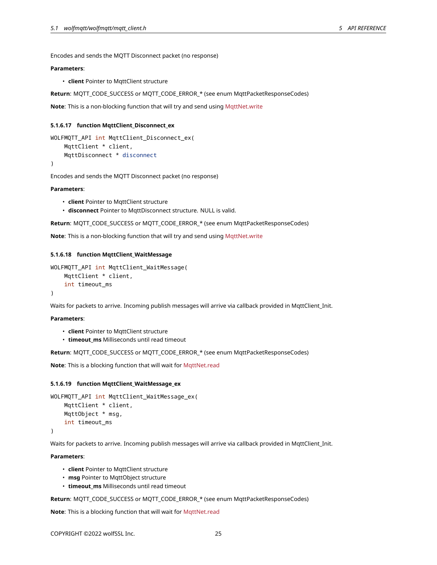Encodes and sends the MQTT Disconnect packet (no response)

### **Parameters**:

• **client** Pointer to MqttClient structure

**Return**: MQTT\_CODE\_SUCCESS or MQTT\_CODE\_ERROR\_\* (see enum MqttPacketResponseCodes)

**Note**: This is a non-blocking function that will try and send using MqttNet.write

# **5.1.6.17 function MqttClient\_Disconnect\_ex**

```
WOLFMQTT_API int MqttClient_Disconnect_ex(
    MqttClient * client,
    MqttDisconnect * disconnect
)
```
Encodes and sends the MQTT Disconnect packet (no response)

#### **Parameters**:

```
• client Pointer to MqttClient structure
```
• **disconnect** Pointer to MqttDisconnect structure. NULL is valid.

**Return**: MQTT\_CODE\_SUCCESS or MQTT\_CODE\_ERROR\_\* (see enum MqttPacketResponseCodes)

**Note**: This is a non-blocking function that will try and send using MqttNet.write

### **5.1.6.18 function MqttClient\_WaitMessage**

```
WOLFMQTT_API int MqttClient_WaitMessage(
    MqttClient * client,
    int timeout_ms
```
)

Waits for packets to arrive. Incoming publish messages will arrive via callback provided in MqttClient\_Init.

# **Parameters**:

- **client** Pointer to MqttClient structure
- **timeout\_ms** Milliseconds until read timeout

**Return**: MQTT\_CODE\_SUCCESS or MQTT\_CODE\_ERROR\_\* (see enum MqttPacketResponseCodes)

**Note**: This is a blocking function that will wait for MqttNet.read

### **5.1.6.19 function MqttClient\_WaitMessage\_ex**

```
WOLFMQTT_API int MqttClient_WaitMessage_ex(
    MqttClient * client,
    MqttObject * msg,
    int timeout_ms
)
```
Waits for packets to arrive. Incoming publish messages will arrive via callback provided in MqttClient\_Init.

# **Parameters**:

- **client** Pointer to MqttClient structure
- **msg** Pointer to MqttObject structure
- **timeout\_ms** Milliseconds until read timeout

**Return**: MQTT\_CODE\_SUCCESS or MQTT\_CODE\_ERROR\_\* (see enum MqttPacketResponseCodes)

**Note**: This is a blocking function that will wait for MqttNet.read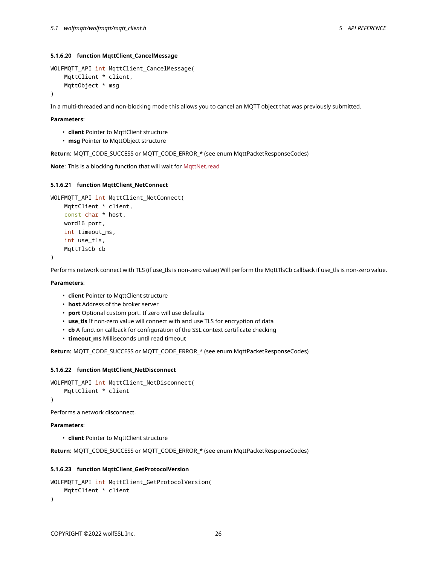### **5.1.6.20 function MqttClient\_CancelMessage**

```
WOLFMQTT_API int MqttClient_CancelMessage(
    MqttClient * client,
    MqttObject * msg
)
```
In a multi-threaded and non-blocking mode this allows you to cancel an MQTT object that was previously submitted.

#### **Parameters**:

- **client** Pointer to MqttClient structure
- **msg** Pointer to MqttObject structure

**Return**: MQTT\_CODE\_SUCCESS or MQTT\_CODE\_ERROR\_\* (see enum MqttPacketResponseCodes)

**Note**: This is a blocking function that will wait for MqttNet.read

### **5.1.6.21 function MqttClient\_NetConnect**

```
WOLFMQTT API int MattClient NetConnect(
    MqttClient * client,
    const char * host,
    word16 port,
    int timeout_ms,
    int use_tls,
    MqttTlsCb cb
```
)

Performs network connect with TLS (if use\_tls is non-zero value) Will perform the MqttTlsCb callback if use\_tls is non-zero value.

#### **Parameters**:

- **client** Pointer to MqttClient structure
- **host** Address of the broker server
- **port** Optional custom port. If zero will use defaults
- **use\_tls** If non-zero value will connect with and use TLS for encryption of data
- **cb** A function callback for configuration of the SSL context certificate checking
- **timeout\_ms** Milliseconds until read timeout

**Return**: MQTT\_CODE\_SUCCESS or MQTT\_CODE\_ERROR\_\* (see enum MqttPacketResponseCodes)

### **5.1.6.22 function MqttClient\_NetDisconnect**

```
WOLFMQTT_API int MqttClient_NetDisconnect(
    MqttClient * client
```
)

Performs a network disconnect.

#### **Parameters**:

• **client** Pointer to MqttClient structure

**Return**: MQTT\_CODE\_SUCCESS or MQTT\_CODE\_ERROR\_\* (see enum MqttPacketResponseCodes)

#### **5.1.6.23 function MqttClient\_GetProtocolVersion**

```
WOLFMQTT_API int MqttClient_GetProtocolVersion(
    MqttClient * client
)
```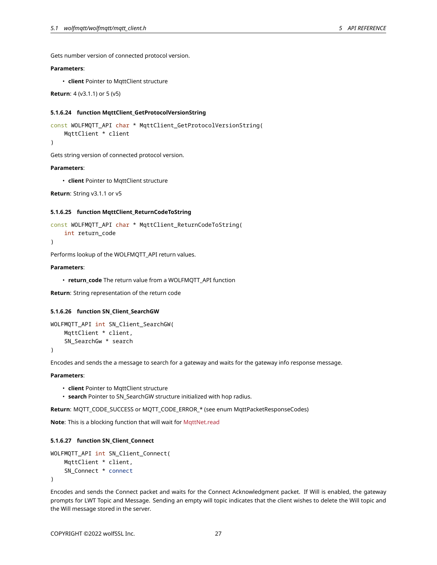Gets number version of connected protocol version.

### **Parameters**:

• **client** Pointer to MqttClient structure

**Return**: 4 (v3.1.1) or 5 (v5)

#### **5.1.6.24 function MqttClient\_GetProtocolVersionString**

```
const WOLFMQTT_API char * MqttClient_GetProtocolVersionString(
    MqttClient * client
)
```
Gets string version of connected protocol version.

#### **Parameters**:

• **client** Pointer to MqttClient structure

**Return**: String v3.1.1 or v5

#### **5.1.6.25 function MqttClient\_ReturnCodeToString**

```
const WOLFMQTT_API char * MqttClient_ReturnCodeToString(
    int return_code
)
```
Performs lookup of the WOLFMQTT\_API return values.

#### **Parameters**:

• **return\_code** The return value from a WOLFMQTT\_API function

**Return**: String representation of the return code

#### **5.1.6.26 function SN\_Client\_SearchGW**

```
WOLFMQTT_API int SN_Client_SearchGW(
    MqttClient * client,
    SN_SearchGw * search
)
```
Encodes and sends the a message to search for a gateway and waits for the gateway info response message.

### **Parameters**:

```
• client Pointer to MqttClient structure
```
• **search** Pointer to SN\_SearchGW structure initialized with hop radius.

**Return**: MQTT\_CODE\_SUCCESS or MQTT\_CODE\_ERROR\_\* (see enum MqttPacketResponseCodes)

**Note**: This is a blocking function that will wait for MqttNet.read

#### **5.1.6.27 function SN\_Client\_Connect**

```
WOLFMQTT_API int SN_Client_Connect(
    MqttClient * client,
    SN_Connect * connect
)
```
Encodes and sends the Connect packet and waits for the Connect Acknowledgment packet. If Will is enabled, the gateway prompts for LWT Topic and Message. Sending an empty will topic indicates that the client wishes to delete the Will topic and the Will message stored in the server.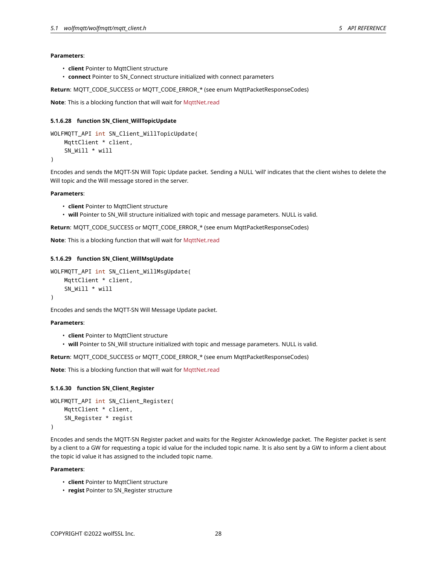#### **Parameters**:

- **client** Pointer to MqttClient structure
- **connect** Pointer to SN\_Connect structure initialized with connect parameters

**Return**: MQTT\_CODE\_SUCCESS or MQTT\_CODE\_ERROR\_\* (see enum MqttPacketResponseCodes)

**Note**: This is a blocking function that will wait for MqttNet.read

# **5.1.6.28 function SN\_Client\_WillTopicUpdate**

```
WOLFMQTT_API int SN_Client_WillTopicUpdate(
    MqttClient * client,
    SN_Will * will
)
```
Encodes and sends the MQTT-SN Will Topic Update packet. Sending a NULL 'will' indicates that the client wishes to delete the Will topic and the Will message stored in the server.

#### **Parameters**:

- **client** Pointer to MqttClient structure
- **will** Pointer to SN\_Will structure initialized with topic and message parameters. NULL is valid.

**Return**: MQTT\_CODE\_SUCCESS or MQTT\_CODE\_ERROR\_\* (see enum MqttPacketResponseCodes)

**Note**: This is a blocking function that will wait for MqttNet.read

#### **5.1.6.29 function SN\_Client\_WillMsgUpdate**

```
WOLFMQTT_API int SN_Client_WillMsgUpdate(
    MqttClient * client,
    SN_Will * will
)
```
Encodes and sends the MQTT-SN Will Message Update packet.

### **Parameters**:

- **client** Pointer to MqttClient structure
- **will** Pointer to SN\_Will structure initialized with topic and message parameters. NULL is valid.

**Return**: MQTT\_CODE\_SUCCESS or MQTT\_CODE\_ERROR\_\* (see enum MqttPacketResponseCodes)

**Note**: This is a blocking function that will wait for MqttNet.read

#### **5.1.6.30 function SN\_Client\_Register**

```
WOLFMQTT_API int SN_Client_Register(
    MqttClient * client,
    SN_Register * regist
)
```
Encodes and sends the MQTT-SN Register packet and waits for the Register Acknowledge packet. The Register packet is sent by a client to a GW for requesting a topic id value for the included topic name. It is also sent by a GW to inform a client about the topic id value it has assigned to the included topic name.

#### **Parameters**:

- **client** Pointer to MqttClient structure
- **regist** Pointer to SN\_Register structure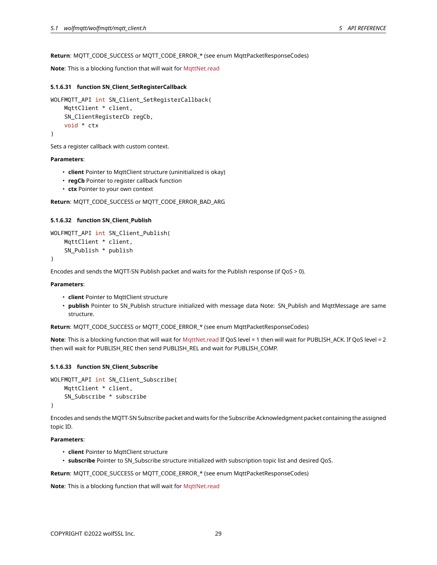**Return**: MQTT\_CODE\_SUCCESS or MQTT\_CODE\_ERROR\_\* (see enum MqttPacketResponseCodes)

**Note**: This is a blocking function that will wait for MqttNet.read

### **5.1.6.31 function SN\_Client\_SetRegisterCallback**

```
WOLFMQTT_API int SN_Client_SetRegisterCallback(
    MqttClient * client,
    SN_ClientRegisterCb regCb,
    void * ctx
)
```
Sets a register callback with custom context.

### **Parameters**:

- **client** Pointer to MqttClient structure (uninitialized is okay)
- **regCb** Pointer to register callback function
- **ctx** Pointer to your own context

**Return**: MQTT\_CODE\_SUCCESS or MQTT\_CODE\_ERROR\_BAD\_ARG

# **5.1.6.32 function SN\_Client\_Publish**

```
WOLFMQTT_API int SN_Client_Publish(
    MqttClient * client,
    SN_Publish * publish
)
```
Encodes and sends the MQTT-SN Publish packet and waits for the Publish response (if QoS > 0).

#### **Parameters**:

- **client** Pointer to MqttClient structure
- **publish** Pointer to SN\_Publish structure initialized with message data Note: SN\_Publish and MqttMessage are same structure.

**Return**: MQTT\_CODE\_SUCCESS or MQTT\_CODE\_ERROR\_\* (see enum MqttPacketResponseCodes)

**Note**: This is a blocking function that will wait for MqttNet.read If QoS level = 1 then will wait for PUBLISH\_ACK. If QoS level = 2 then will wait for PUBLISH\_REC then send PUBLISH\_REL and wait for PUBLISH\_COMP.

#### **5.1.6.33 function SN\_Client\_Subscribe**

```
WOLFMQTT_API int SN_Client_Subscribe(
    MqttClient * client,
    SN_Subscribe * subscribe
)
```
Encodes and sends the MQTT-SN Subscribe packet and waits for the Subscribe Acknowledgment packet containing the assigned topic ID.

### **Parameters**:

- **client** Pointer to MqttClient structure
- **subscribe** Pointer to SN\_Subscribe structure initialized with subscription topic list and desired QoS.

**Return**: MQTT\_CODE\_SUCCESS or MQTT\_CODE\_ERROR\_\* (see enum MqttPacketResponseCodes)

**Note**: This is a blocking function that will wait for MqttNet.read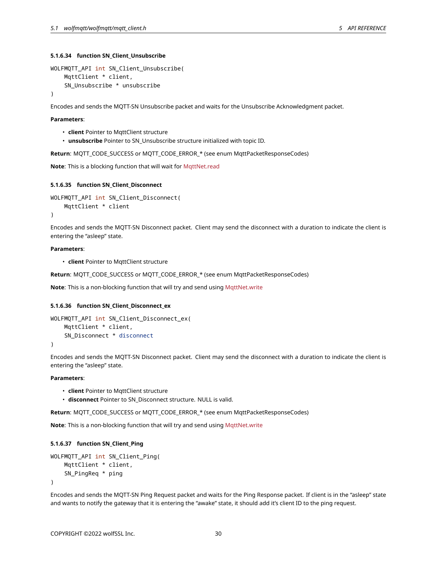# **5.1.6.34 function SN\_Client\_Unsubscribe**

```
WOLFMQTT_API int SN_Client_Unsubscribe(
    MqttClient * client,
    SN_Unsubscribe * unsubscribe
```
)

Encodes and sends the MQTT-SN Unsubscribe packet and waits for the Unsubscribe Acknowledgment packet.

#### **Parameters**:

- **client** Pointer to MqttClient structure
- **unsubscribe** Pointer to SN\_Unsubscribe structure initialized with topic ID.

**Return**: MQTT\_CODE\_SUCCESS or MQTT\_CODE\_ERROR\_\* (see enum MqttPacketResponseCodes)

**Note**: This is a blocking function that will wait for MqttNet.read

## **5.1.6.35 function SN\_Client\_Disconnect**

```
WOLFMQTT API int SN Client Disconnect(
    MqttClient * client
\lambda
```
Encodes and sends the MQTT-SN Disconnect packet. Client may send the disconnect with a duration to indicate the client is entering the "asleep" state.

#### **Parameters**:

• **client** Pointer to MqttClient structure

**Return**: MQTT\_CODE\_SUCCESS or MQTT\_CODE\_ERROR\_\* (see enum MqttPacketResponseCodes)

**Note**: This is a non-blocking function that will try and send using MqttNet.write

### **5.1.6.36 function SN\_Client\_Disconnect\_ex**

```
WOLFMQTT_API int SN_Client_Disconnect_ex(
    MqttClient * client,
    SN_Disconnect * disconnect
```
)

Encodes and sends the MQTT-SN Disconnect packet. Client may send the disconnect with a duration to indicate the client is entering the "asleep" state.

#### **Parameters**:

```
• client Pointer to MqttClient structure
```
• **disconnect** Pointer to SN\_Disconnect structure. NULL is valid.

**Return**: MQTT\_CODE\_SUCCESS or MQTT\_CODE\_ERROR\_\* (see enum MqttPacketResponseCodes)

**Note**: This is a non-blocking function that will try and send using MqttNet.write

#### **5.1.6.37 function SN\_Client\_Ping**

```
WOLFMQTT_API int SN_Client_Ping(
    MqttClient * client,
    SN_PingReq * ping
)
```
Encodes and sends the MQTT-SN Ping Request packet and waits for the Ping Response packet. If client is in the "asleep" state and wants to notify the gateway that it is entering the "awake" state, it should add it's client ID to the ping request.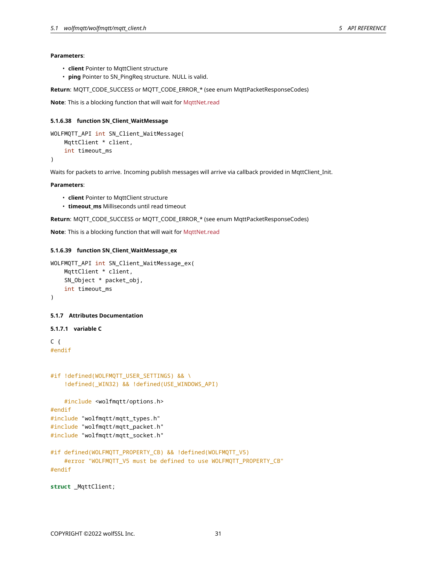#### **Parameters**:

- **client** Pointer to MqttClient structure
- **ping** Pointer to SN\_PingReq structure. NULL is valid.

**Return**: MQTT\_CODE\_SUCCESS or MQTT\_CODE\_ERROR\_\* (see enum MqttPacketResponseCodes)

**Note**: This is a blocking function that will wait for MqttNet.read

# **5.1.6.38 function SN\_Client\_WaitMessage**

```
WOLFMQTT_API int SN_Client_WaitMessage(
    MqttClient * client,
    int timeout_ms
)
```
Waits for packets to arrive. Incoming publish messages will arrive via callback provided in MqttClient\_Init.

## **Parameters**:

- **client** Pointer to MqttClient structure
- **timeout\_ms** Milliseconds until read timeout

**Return**: MQTT\_CODE\_SUCCESS or MQTT\_CODE\_ERROR\_\* (see enum MqttPacketResponseCodes)

**Note**: This is a blocking function that will wait for MqttNet.read

# **5.1.6.39 function SN\_Client\_WaitMessage\_ex**

```
WOLFMQTT_API int SN_Client_WaitMessage_ex(
    MqttClient * client,
    SN_Object * packet_obj,
    int timeout_ms
)
```
#### <span id="page-30-0"></span>**5.1.7 Attributes Documentation**

#### <span id="page-30-2"></span>**5.1.7.1 variable C**

```
C \leftarrow#endif
```

```
#if !defined(WOLFMQTT_USER_SETTINGS) && \
    !defined(_WIN32) && !defined(USE_WINDOWS_API)
   #include <wolfmqtt/options.h>
#endif
#include "wolfmqtt/mqtt_types.h"
#include "wolfmqtt/mqtt_packet.h"
#include "wolfmqtt/mqtt_socket.h"
#if defined(WOLFMQTT_PROPERTY_CB) && !defined(WOLFMQTT_V5)
   #error "WOLFMQTT_V5 must be defined to use WOLFMQTT_PROPERTY_CB"
#endif
```
<span id="page-30-1"></span>**struct** \_MqttClient;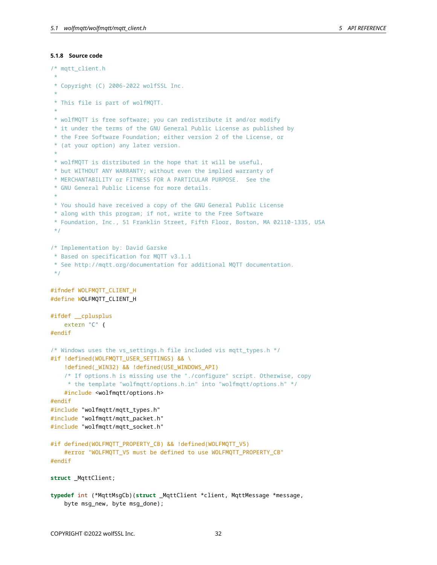```
5.1.8 Source code
```

```
/* mqtt_client.h
 *
 * Copyright (C) 2006-2022 wolfSSL Inc.
 *
 * This file is part of wolfMQTT.
 *
* wolfMQTT is free software; you can redistribute it and/or modify
 * it under the terms of the GNU General Public License as published by
 * the Free Software Foundation; either version 2 of the License, or
 * (at your option) any later version.
 *
 * wolfMQTT is distributed in the hope that it will be useful,
 * but WITHOUT ANY WARRANTY; without even the implied warranty of
 * MERCHANTABILITY or FITNESS FOR A PARTICULAR PURPOSE. See the
 * GNU General Public License for more details.
 *
* You should have received a copy of the GNU General Public License
 * along with this program; if not, write to the Free Software
 * Foundation, Inc., 51 Franklin Street, Fifth Floor, Boston, MA 02110-1335, USA
*/
/* Implementation by: David Garske
 * Based on specification for MQTT v3.1.1
* See http://mqtt.org/documentation for additional MQTT documentation.
*/
#ifndef WOLFMQTT_CLIENT_H
#define WOLFMQTT_CLIENT_H
#ifdef __cplusplus
   extern "C" {
#endif
/* Windows uses the vs_settings.h file included vis mqtt_types.h */
#if !defined(WOLFMQTT_USER_SETTINGS) && \
   !defined(_WIN32) && !defined(USE_WINDOWS_API)
    /* If options.h is missing use the "./configure" script. Otherwise, copy
    * the template "wolfmqtt/options.h.in" into "wolfmqtt/options.h" */
    #include <wolfmqtt/options.h>
#endif
#include "wolfmqtt/mqtt_types.h"
#include "wolfmqtt/mqtt_packet.h"
#include "wolfmqtt/mqtt_socket.h"
#if defined(WOLFMQTT_PROPERTY_CB) && !defined(WOLFMQTT_V5)
    #error "WOLFMQTT_V5 must be defined to use WOLFMQTT_PROPERTY_CB"
#endif
struct _MqttClient;
typedef int (*MqttMsgCb)(struct _MqttClient *client, MqttMessage *message,
```

```
byte msg_new, byte msg_done);
```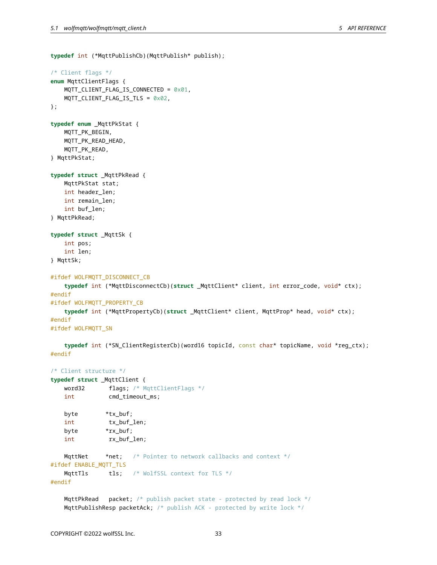**typedef** int (\*MqttPublishCb)(MqttPublish\* publish);

```
/* Client flags */
enum MqttClientFlags {
    MQTT_CLIENT_FLAG_IS_CONNECTED = 0x01,
    MQTT_CLIENT_FLAG_IS_TLS = 0x02,
};
typedef enum _MqttPkStat {
    MQTT_PK_BEGIN,
    MQTT_PK_READ_HEAD,
    MQTT_PK_READ,
} MqttPkStat;
typedef struct _MqttPkRead {
    MqttPkStat stat;
    int header_len;
    int remain_len;
    int buf_len;
} MqttPkRead;
typedef struct _MqttSk {
    int pos;
    int len;
} MqttSk;
#ifdef WOLFMQTT_DISCONNECT_CB
    typedef int (*MqttDisconnectCb)(struct _MqttClient* client, int error_code, void* ctx);
#endif
#ifdef WOLFMQTT_PROPERTY_CB
    typedef int (*MqttPropertyCb)(struct _MqttClient* client, MqttProp* head, void* ctx);
#endif
#ifdef WOLFMQTT_SN
```
**typedef** int (\*SN\_ClientRegisterCb)(word16 topicId, const char\* topicName, void \*reg\_ctx); #endif

```
/* Client structure */
typedef struct _MqttClient {
   word32 flags; /* MqttClientFlags */
   int cmd_timeout_ms;
   byte *tx_buf;
   int tx_buf_len;
   byte *rx_buf;
   int rx_buf_len;
   MqttNet *net; /* Pointer to network callbacks and context */
#ifdef ENABLE_MQTT_TLS
   MqttTls tls; /* WolfSSL context for TLS */
#endif
```
MqttPkRead packet;  $/*$  publish packet state - protected by read lock  $*/$ MqttPublishResp packetAck; /\* publish ACK - protected by write lock \*/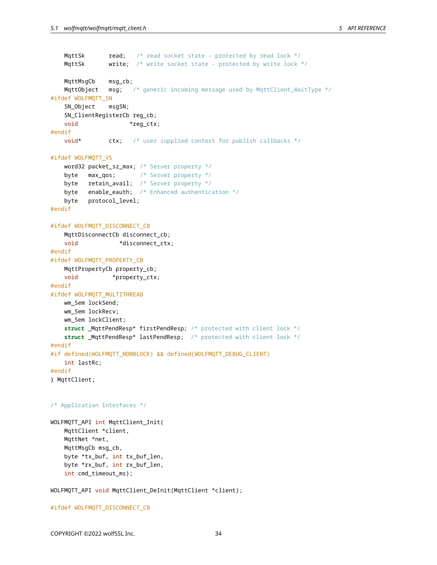```
MqttSk read; /* read socket state - protected by read lock */
   MqttSk write; /* write socket state - protected by write lock */MqttMsgCb msg_cb;
   MqttObject msg; /* generic incoming message used by MqttClient_WaitType */
#ifdef WOLFMQTT_SN
   SN_Object msgSN;
   SN ClientRegisterCb reg cb;
   void *reg_ctx;
#endif
   void* ctx; /* user supplied context for publish callbacks */
#ifdef WOLFMQTT_V5
   word32 packet_sz_max; /* Server property */
   byte max_qos; /* Server property */
   byte retain_avail; /* Server property */
   byte enable_eauth; /* Enhanced authentication */
   byte protocol_level;
#endif
#ifdef WOLFMQTT_DISCONNECT_CB
   MqttDisconnectCb disconnect_cb;
   void *disconnect ctx;
#endif
#ifdef WOLFMQTT_PROPERTY_CB
   MqttPropertyCb property_cb;
   void *property_ctx;
#endif
#ifdef WOLFMQTT_MULTITHREAD
   wm_Sem lockSend;
   wm_Sem lockRecv;
   wm_Sem lockClient;
   struct _MqttPendResp* firstPendResp; /* protected with client lock */
   struct _MqttPendResp* lastPendResp; /* protected with client lock */
#endif
#if defined(WOLFMQTT_NONBLOCK) && defined(WOLFMQTT_DEBUG_CLIENT)
   int lastRc;
#endif
} MqttClient;
/* Application Interfaces */
WOLFMQTT_API int MqttClient_Init(
   MqttClient *client,
   MqttNet *net,
   MqttMsgCb msg_cb,
   byte *tx_buf, int tx_buf_len,
   byte *rx_buf, int rx_buf_len,
   int cmd_timeout_ms);
WOLFMQTT_API void MqttClient_DeInit(MqttClient *client);
#ifdef WOLFMQTT_DISCONNECT_CB
```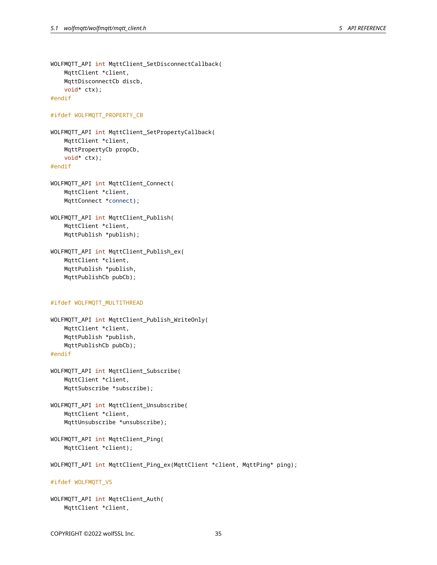```
WOLFMQTT_API int MqttClient_SetDisconnectCallback(
    MqttClient *client,
    MqttDisconnectCb discb,
    void* ctx);
#endif
#ifdef WOLFMQTT_PROPERTY_CB
WOLFMQTT_API int MqttClient_SetPropertyCallback(
    MqttClient *client,
    MqttPropertyCb propCb,
    void* ctx);
#endif
WOLFMQTT_API int MqttClient_Connect(
    MqttClient *client,
    MqttConnect *connect);
WOLFMQTT_API int MqttClient_Publish(
    MqttClient *client,
    MqttPublish *publish);
WOLFMQTT_API int MqttClient_Publish_ex(
    MqttClient *client,
    MqttPublish *publish,
    MqttPublishCb pubCb);
#ifdef WOLFMQTT_MULTITHREAD
WOLFMQTT_API int MqttClient_Publish_WriteOnly(
    MqttClient *client,
    MqttPublish *publish,
    MqttPublishCb pubCb);
#endif
WOLFMQTT_API int MqttClient_Subscribe(
```
MqttClient \*client, MqttSubscribe \*subscribe);

WOLFMQTT\_API int MqttClient\_Unsubscribe( MqttClient \*client, MqttUnsubscribe \*unsubscribe);

```
WOLFMQTT_API int MqttClient_Ping(
    MqttClient *client);
```
WOLFMQTT\_API int MqttClient\_Ping\_ex(MqttClient \*client, MqttPing\* ping);

### #ifdef WOLFMQTT\_V5

```
WOLFMQTT_API int MqttClient_Auth(
    MqttClient *client,
```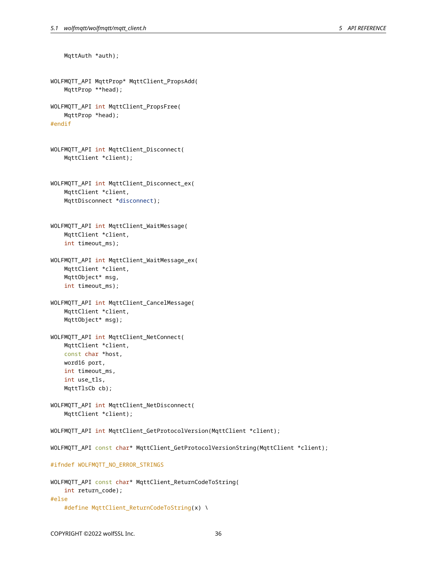```
MqttAuth *auth);
WOLFMQTT_API MqttProp* MqttClient_PropsAdd(
    MqttProp **head);
WOLFMQTT_API int MqttClient_PropsFree(
    MqttProp *head);
#endif
WOLFMQTT_API int MqttClient_Disconnect(
    MqttClient *client);
WOLFMQTT_API int MqttClient_Disconnect_ex(
    MqttClient *client,
    MqttDisconnect *disconnect);
WOLFMQTT_API int MqttClient_WaitMessage(
    MqttClient *client,
    int timeout ms);
WOLFMQTT_API int MqttClient_WaitMessage_ex(
    MqttClient *client,
    MqttObject* msg,
    int timeout_ms);
WOLFMQTT_API int MqttClient_CancelMessage(
    MqttClient *client,
    MqttObject* msg);
WOLFMQTT_API int MqttClient_NetConnect(
    MqttClient *client,
    const char *host,
   word16 port,
    int timeout_ms,
    int use_tls,
    MqttTlsCb cb);
WOLFMQTT API int MgttClient NetDisconnect(
    MqttClient *client);
WOLFMQTT_API int MqttClient_GetProtocolVersion(MqttClient *client);
WOLFMQTT_API const char* MqttClient_GetProtocolVersionString(MqttClient *client);
#ifndef WOLFMQTT_NO_ERROR_STRINGS
WOLFMQTT_API const char* MqttClient_ReturnCodeToString(
    int return_code);
#else
    #define MqttClient_ReturnCodeToString(x) \
```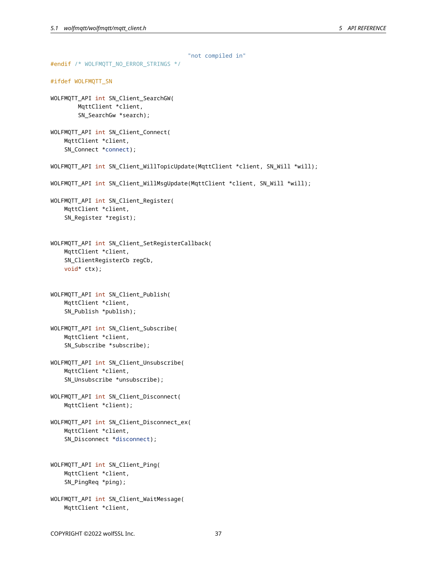```
"not compiled in"
#endif /* WOLFMQTT_NO_ERROR_STRINGS */
#ifdef WOLFMQTT_SN
WOLFMQTT_API int SN_Client_SearchGW(
        MqttClient *client,
        SN SearchGw *search);
WOLFMQTT_API int SN_Client_Connect(
    MqttClient *client,
    SN_Connect *connect);
WOLFMQTT_API int SN_Client_WillTopicUpdate(MqttClient *client, SN_Will *will);
WOLFMQTT_API int SN_Client_WillMsgUpdate(MqttClient *client, SN_Will *will);
WOLFMQTT_API int SN_Client_Register(
    MqttClient *client,
    SN_Register *regist);
WOLFMQTT_API int SN_Client_SetRegisterCallback(
    MqttClient *client,
    SN_ClientRegisterCb regCb,
    void* ctx);
WOLFMQTT_API int SN_Client_Publish(
    MqttClient *client,
    SN_Publish *publish);
WOLFMQTT_API int SN_Client_Subscribe(
    MqttClient *client,
    SN_Subscribe *subscribe);
WOLFMQTT_API int SN_Client_Unsubscribe(
    MqttClient *client,
    SN_Unsubscribe *unsubscribe);
WOLFMQTT_API int SN_Client_Disconnect(
    MqttClient *client);
WOLFMQTT_API int SN_Client_Disconnect_ex(
    MqttClient *client,
    SN_Disconnect *disconnect);
WOLFMQTT_API int SN_Client_Ping(
    MqttClient *client,
    SN_PingReq *ping);
WOLFMQTT_API int SN_Client_WaitMessage(
    MqttClient *client,
```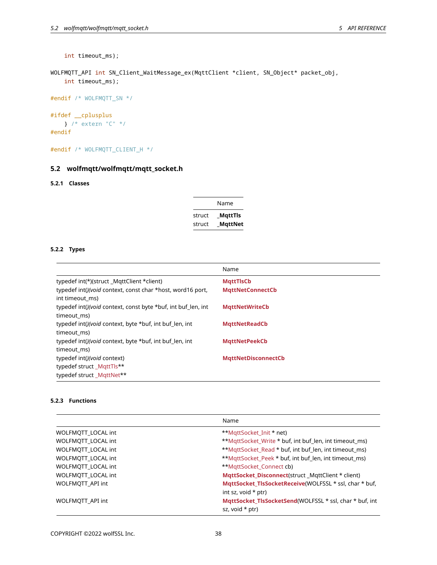int timeout\_ms);

```
WOLFMQTT_API int SN_Client_WaitMessage_ex(MqttClient *client, SN_Object* packet_obj,
   int timeout_ms);
```
#endif /\* WOLFMQTT\_SN \*/

```
#ifdef __cplusplus
   } /* extern "C" */
#endif
```

```
#endif /* WOLFMQTT_CLIENT_H */
```
# **5.2 wolfmqtt/wolfmqtt/mqtt\_socket.h**

# <span id="page-37-1"></span>**5.2.1 Classes**

|        | Name    |
|--------|---------|
| struct | MqttTls |
| struct | MqttNet |

# <span id="page-37-2"></span>**5.2.2 Types**

|                                                                               | Name                       |
|-------------------------------------------------------------------------------|----------------------------|
| typedef int(*)(struct_MqttClient *client)                                     | <b>MattTIsCb</b>           |
| typedef int()(void context, const char *host, word16 port,<br>int timeout ms) | <b>MgttNetConnectCb</b>    |
| typedef int()(void context, const byte *buf, int buf len, int<br>timeout ms)  | <b>MgttNetWriteCb</b>      |
| typedef int()(void context, byte *buf, int buf len, int<br>timeout ms)        | <b>MgttNetReadCb</b>       |
| typedef int()(void context, byte *buf, int buf len, int<br>timeout ms)        | <b>MgttNetPeekCb</b>       |
| typedef int()(void context)<br>typedef struct MgttTls**                       | <b>MgttNetDisconnectCb</b> |
| typedef struct MattNet**                                                      |                            |

# <span id="page-37-3"></span>**5.2.3 Functions**

|                    | Name                                                                         |  |
|--------------------|------------------------------------------------------------------------------|--|
| WOLFMOTT LOCAL int | **MattSocket Init * net)                                                     |  |
| WOLFMQTT_LOCAL int | **MqttSocket_Write * buf, int buf_len, int timeout_ms)                       |  |
| WOLFMOTT LOCAL int | **MqttSocket_Read * buf, int buf_len, int timeout_ms)                        |  |
| WOLFMOTT LOCAL int | **MqttSocket_Peek * buf, int buf_len, int timeout_ms)                        |  |
| WOLFMQTT_LOCAL int | **MqttSocket_Connect cb)                                                     |  |
| WOLFMQTT_LOCAL int | MattSocket Disconnect(struct_MattClient * client)                            |  |
| WOLFMQTT_API int   | MqttSocket_TlsSocketReceive(WOLFSSL * ssl, char * buf,                       |  |
|                    | int sz, void $*$ ptr)                                                        |  |
| WOLFMOTT API int   | MattSocket TlsSocketSend(WOLFSSL * ssl, char * buf, int<br>sz, void $*$ ptr) |  |
|                    |                                                                              |  |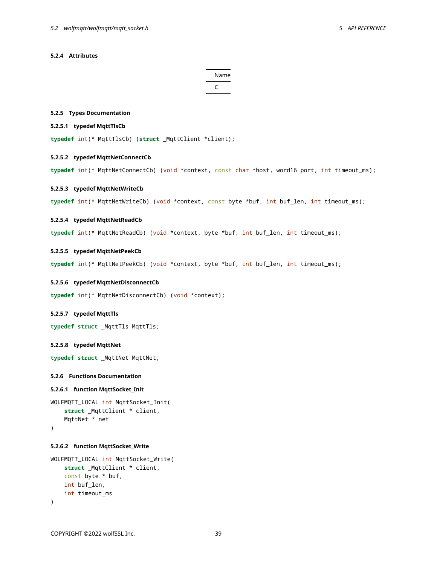# <span id="page-38-0"></span>**5.2.4 Attributes**

Name **[C](#page-30-2)**

#### <span id="page-38-1"></span>**5.2.5 Types Documentation**

# <span id="page-38-3"></span>**5.2.5.1 typedef MqttTlsCb**

<span id="page-38-4"></span>**typedef** int(\* MqttTlsCb) (**struct** \_MqttClient \*client);

# **5.2.5.2 typedef MqttNetConnectCb**

<span id="page-38-5"></span>**typedef** int(\* MqttNetConnectCb) (void \*context, const char \*host, word16 port, int timeout\_ms);

### **5.2.5.3 typedef MqttNetWriteCb**

<span id="page-38-6"></span>**typedef** int(\* MqttNetWriteCb) (void \*context, const byte \*buf, int buf\_len, int timeout\_ms);

### **5.2.5.4 typedef MqttNetReadCb**

<span id="page-38-7"></span>**typedef** int(\* MqttNetReadCb) (void \*context, byte \*buf, int buf\_len, int timeout\_ms);

#### **5.2.5.5 typedef MqttNetPeekCb**

<span id="page-38-8"></span>**typedef** int(\* MqttNetPeekCb) (void \*context, byte \*buf, int buf\_len, int timeout\_ms);

#### **5.2.5.6 typedef MqttNetDisconnectCb**

<span id="page-38-9"></span>**typedef** int(\* MqttNetDisconnectCb) (void \*context);

### **5.2.5.7 typedef MqttTls**

<span id="page-38-10"></span>**typedef struct** \_MqttTls MqttTls;

# **5.2.5.8 typedef MqttNet**

<span id="page-38-2"></span>**typedef struct** \_MqttNet MqttNet;

```
5.2.6 Functions Documentation
```
#### **5.2.6.1 function MqttSocket\_Init**

```
WOLFMQTT_LOCAL int MqttSocket_Init(
    struct _MqttClient * client,
    MqttNet * net
)
```
# **5.2.6.2 function MqttSocket\_Write**

```
WOLFMQTT_LOCAL int MqttSocket_Write(
    struct _MqttClient * client,
    const byte * buf,
   int buf_len,
    int timeout_ms
)
```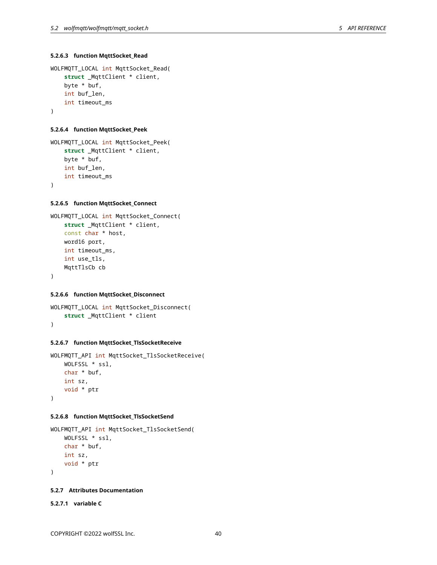# **5.2.6.3 function MqttSocket\_Read**

```
WOLFMQTT_LOCAL int MqttSocket_Read(
    struct _MqttClient * client,
    byte * buf,
    int buf_len,
    int timeout_ms
)
```
# **5.2.6.4 function MqttSocket\_Peek**

```
WOLFMQTT_LOCAL int MqttSocket_Peek(
    struct _MqttClient * client,
    byte * buf,
    int buf_len,
    int timeout_ms
)
```
## **5.2.6.5 function MqttSocket\_Connect**

```
WOLFMQTT_LOCAL int MqttSocket_Connect(
    struct _MqttClient * client,
    const char * host,
   word16 port,
   int timeout_ms,
    int use_tls,
   MqttTlsCb cb
)
```
# **5.2.6.6 function MqttSocket\_Disconnect**

```
WOLFMQTT_LOCAL int MqttSocket_Disconnect(
    struct _MqttClient * client
)
```
#### **5.2.6.7 function MqttSocket\_TlsSocketReceive**

```
WOLFMQTT_API int MqttSocket_TlsSocketReceive(
    WOLFSSL * ssl,
    char * buf,
    int sz,
    void * ptr
)
```
# **5.2.6.8 function MqttSocket\_TlsSocketSend**

```
WOLFMQTT_API int MqttSocket_TlsSocketSend(
   WOLFSSL * ssl,
   char * buf,
   int sz,
    void * ptr
)
```
# <span id="page-39-0"></span>**5.2.7 Attributes Documentation**

**5.2.7.1 variable C**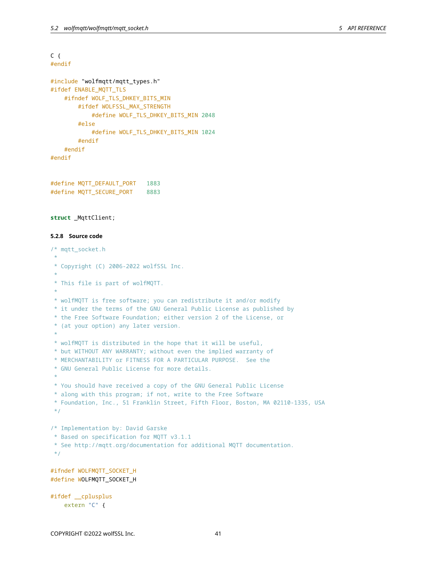# $C \{$ #endif

```
#include "wolfmqtt/mqtt_types.h"
#ifdef ENABLE_MQTT_TLS
   #ifndef WOLF_TLS_DHKEY_BITS_MIN
        #ifdef WOLFSSL_MAX_STRENGTH
            #define WOLF_TLS_DHKEY_BITS_MIN 2048
        #else
            #define WOLF_TLS_DHKEY_BITS_MIN 1024
        #endif
    #endif
#endif
```

```
#define MQTT_DEFAULT_PORT 1883
#define MQTT_SECURE_PORT 8883
```
#### <span id="page-40-0"></span>**struct** \_MqttClient;

# **5.2.8 Source code**

```
/* mqtt_socket.h
 *
 * Copyright (C) 2006-2022 wolfSSL Inc.
 *
 * This file is part of wolfMQTT.
 *
* wolfMQTT is free software; you can redistribute it and/or modify
* it under the terms of the GNU General Public License as published by
* the Free Software Foundation; either version 2 of the License, or
 * (at your option) any later version.
 *
 * wolfMQTT is distributed in the hope that it will be useful,
 * but WITHOUT ANY WARRANTY; without even the implied warranty of
 * MERCHANTABILITY or FITNESS FOR A PARTICULAR PURPOSE. See the
 * GNU General Public License for more details.
 *
* You should have received a copy of the GNU General Public License
 * along with this program; if not, write to the Free Software
 * Foundation, Inc., 51 Franklin Street, Fifth Floor, Boston, MA 02110-1335, USA
*/
/* Implementation by: David Garske
 * Based on specification for MQTT v3.1.1
 * See http://mqtt.org/documentation for additional MQTT documentation.
*/
#ifndef WOLFMQTT_SOCKET_H
#define WOLFMQTT_SOCKET_H
#ifdef __cplusplus
    extern "C" {
```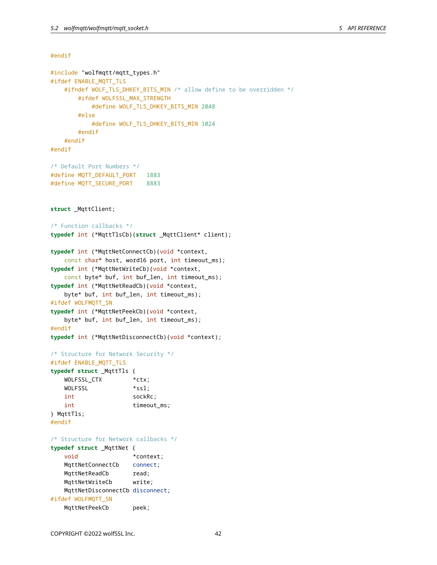# #endif

```
#include "wolfmqtt/mqtt_types.h"
#ifdef ENABLE_MQTT_TLS
    #ifndef WOLF_TLS_DHKEY_BITS_MIN /* allow define to be overridden */
       #ifdef WOLFSSL_MAX_STRENGTH
           #define WOLF_TLS_DHKEY_BITS_MIN 2048
       #else
           #define WOLF_TLS_DHKEY_BITS_MIN 1024
       #endif
    #endif
#endif
/* Default Port Numbers */
#define MQTT_DEFAULT_PORT 1883
#define MQTT_SECURE_PORT 8883
struct _MqttClient;
/* Function callbacks */
typedef int (*MqttTlsCb)(struct _MqttClient* client);
typedef int (*MqttNetConnectCb)(void *context,
   const char* host, word16 port, int timeout_ms);
typedef int (*MqttNetWriteCb)(void *context,
   const byte* buf, int buf_len, int timeout_ms);
typedef int (*MqttNetReadCb)(void *context,
   byte* buf, int buf_len, int timeout_ms);
#ifdef WOLFMQTT_SN
typedef int (*MqttNetPeekCb)(void *context,
   byte* buf, int buf_len, int timeout_ms);
#endif
typedef int (*MqttNetDisconnectCb)(void *context);
/* Structure for Network Security */
#ifdef ENABLE_MQTT_TLS
typedef struct _MqttTls {
   WOLFSSL_CTX *ctx;
   WOLFSSL *ssl;
   int sockRc;
   int timeout ms;
} MqttTls;
#endif
/* Structure for Network callbacks */
typedef struct _MqttNet {
   void *context;
   MqttNetConnectCb connect;
   MqttNetReadCb read;
   MqttNetWriteCb write;
   MqttNetDisconnectCb disconnect;
#ifdef WOLFMQTT_SN
   MqttNetPeekCb peek;
```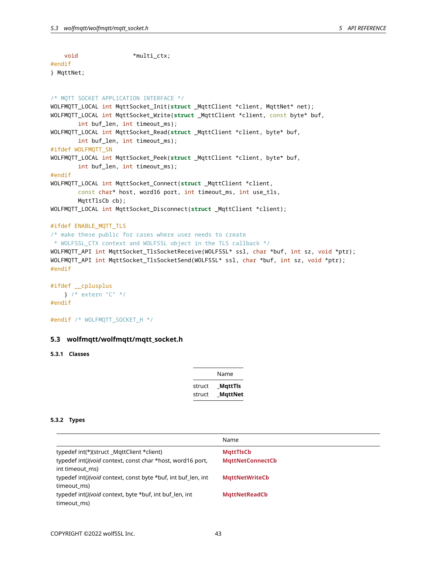void \*multi\_ctx; #endif } MqttNet;

```
/* MQTT SOCKET APPLICATION INTERFACE */
WOLFMQTT_LOCAL int MqttSocket_Init(struct _MqttClient *client, MqttNet* net);
WOLFMQTT_LOCAL int MqttSocket_Write(struct _MqttClient *client, const byte* buf,
        int buf_len, int timeout_ms);
WOLFMQTT_LOCAL int MqttSocket_Read(struct _MqttClient *client, byte* buf,
        int buf_len, int timeout_ms);
#ifdef WOLFMQTT_SN
WOLFMQTT_LOCAL int MqttSocket_Peek(struct _MqttClient *client, byte* buf,
        int buf_len, int timeout_ms);
#endif
WOLFMQTT_LOCAL int MqttSocket_Connect(struct _MqttClient *client,
        const char* host, word16 port, int timeout_ms, int use_tls,
        MqttTlsCb cb);
WOLFMQTT_LOCAL int MqttSocket_Disconnect(struct _MqttClient *client);
#ifdef ENABLE_MQTT_TLS
/* make these public for cases where user needs to create
* WOLFSSL_CTX context and WOLFSSL object in the TLS callback */
```
WOLFMQTT\_API int MqttSocket\_TlsSocketReceive(WOLFSSL\* ssl, char \*buf, int sz, void \*ptr); WOLFMQTT\_API int MqttSocket\_TlsSocketSend(WOLFSSL\* ssl, char \*buf, int sz, void \*ptr); #endif

```
#ifdef __cplusplus
   } /* extern "C" */
#endif
```

```
#endif /* WOLFMQTT_SOCKET_H */
```
# **5.3 wolfmqtt/wolfmqtt/mqtt\_socket.h**

# <span id="page-42-1"></span>**5.3.1 Classes**

|        | Name    |
|--------|---------|
| struct | MqttTls |
| struct | MqttNet |

### <span id="page-42-2"></span>**5.3.2 Types**

|                                                               | Name                    |
|---------------------------------------------------------------|-------------------------|
| typedef int(*)(struct_MqttClient *client)                     | <b>MgttTlsCb</b>        |
| typedef int()(void context, const char *host, word16 port,    | <b>MgttNetConnectCb</b> |
| int timeout ms)                                               |                         |
| typedef int()(void context, const byte *buf, int buf_len, int | <b>MgttNetWriteCb</b>   |
| timeout ms)                                                   |                         |
| typedef int()(void context, byte *buf, int buf_len, int       | <b>MgttNetReadCb</b>    |
| timeout ms)                                                   |                         |
|                                                               |                         |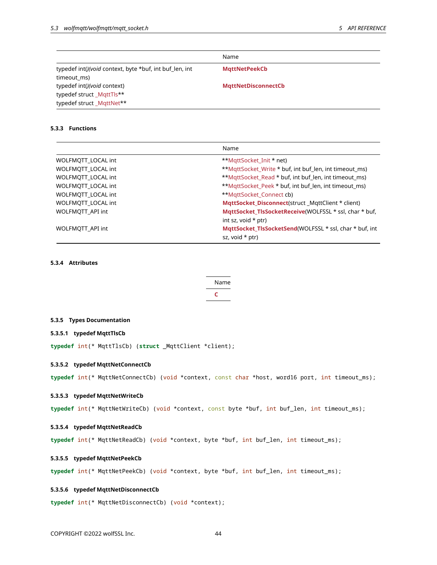|                                                         | Name                       |  |
|---------------------------------------------------------|----------------------------|--|
| typedef int()(void context, byte *buf, int buf_len, int | <b>MgttNetPeekCb</b>       |  |
| timeout_ms)                                             |                            |  |
| typedef int()(void context)                             | <b>MgttNetDisconnectCb</b> |  |
| typedef struct_MqttTls**                                |                            |  |
| typedef struct_MqttNet**                                |                            |  |
|                                                         |                            |  |

### <span id="page-43-0"></span>**5.3.3 Functions**

|                    | Name                                                    |  |
|--------------------|---------------------------------------------------------|--|
| WOLFMOTT LOCAL int | **MattSocket Init * net)                                |  |
| WOLFMQTT_LOCAL int | **MqttSocket_Write * buf, int buf_len, int timeout_ms)  |  |
| WOLFMOTT LOCAL int | **MqttSocket_Read * buf, int buf_len, int timeout_ms)   |  |
| WOLFMQTT_LOCAL int | **MqttSocket_Peek * buf, int buf_len, int timeout_ms)   |  |
| WOLFMOTT LOCAL int | **MqttSocket_Connect cb)                                |  |
| WOLFMOTT LOCAL int | MattSocket Disconnect(struct_MattClient * client)       |  |
| WOLFMOTT API int   | MattSocket TlsSocketReceive(WOLFSSL * ssl, char * buf,  |  |
|                    | int sz, void $*$ ptr)                                   |  |
| WOLFMOTT API int   | MqttSocket_TlsSocketSend(WOLFSSL * ssl, char * buf, int |  |
|                    | sz, void $*$ ptr)                                       |  |

# <span id="page-43-1"></span>**5.3.4 Attributes**

| Name |
|------|
|      |

#### <span id="page-43-2"></span>**5.3.5 Types Documentation**

# **5.3.5.1 typedef MqttTlsCb**

**typedef** int(\* MqttTlsCb) (**struct** \_MqttClient \*client);

# **5.3.5.2 typedef MqttNetConnectCb**

**typedef** int(\* MqttNetConnectCb) (void \*context, const char \*host, word16 port, int timeout\_ms);

# **5.3.5.3 typedef MqttNetWriteCb**

**typedef** int(\* MqttNetWriteCb) (void \*context, const byte \*buf, int buf\_len, int timeout\_ms);

#### **5.3.5.4 typedef MqttNetReadCb**

**typedef** int(\* MqttNetReadCb) (void \*context, byte \*buf, int buf\_len, int timeout\_ms);

# **5.3.5.5 typedef MqttNetPeekCb**

**typedef** int(\* MqttNetPeekCb) (void \*context, byte \*buf, int buf\_len, int timeout\_ms);

### **5.3.5.6 typedef MqttNetDisconnectCb**

**typedef** int(\* MqttNetDisconnectCb) (void \*context);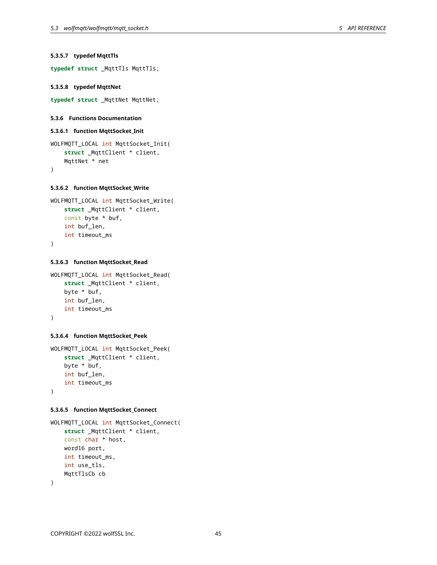```
5.3.5.7 typedef MqttTls
typedef struct _MqttTls MqttTls;
5.3.5.8 typedef MqttNet
```

```
typedef struct _MqttNet MqttNet;
```

```
5.3.6 Functions Documentation
```

```
5.3.6.1 function MqttSocket_Init
```

```
WOLFMQTT_LOCAL int MqttSocket_Init(
    struct _MqttClient * client,
    MqttNet * net
)
```

```
5.3.6.2 function MqttSocket_Write
```

```
WOLFMQTT_LOCAL int MqttSocket_Write(
   struct _MqttClient * client,
    const byte * buf,
   int buf_len,
    int timeout_ms
)
```

```
5.3.6.3 function MqttSocket_Read
```

```
WOLFMQTT_LOCAL int MqttSocket_Read(
    struct _MqttClient * client,
   byte * buf,
    int buf_len,
    int timeout_ms
)
```

```
5.3.6.4 function MqttSocket_Peek
```

```
WOLFMQTT_LOCAL int MqttSocket_Peek(
    struct _MqttClient * client,
   byte * buf,
   int buf_len,
   int timeout_ms
)
```
### **5.3.6.5 function MqttSocket\_Connect**

```
WOLFMQTT_LOCAL int MqttSocket_Connect(
    struct _MqttClient * client,
    const char * host,
   word16 port,
   int timeout_ms,
   int use_tls,
   MqttTlsCb cb
)
```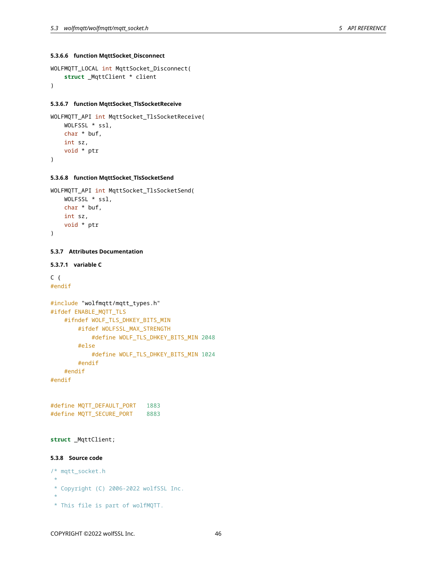# **5.3.6.6 function MqttSocket\_Disconnect**

```
WOLFMQTT_LOCAL int MqttSocket_Disconnect(
    struct _MqttClient * client
)
```
## **5.3.6.7 function MqttSocket\_TlsSocketReceive**

```
WOLFMQTT_API int MqttSocket_TlsSocketReceive(
    WOLFSSL * ssl,
    char * buf,
   int sz,
    void * ptr
)
```
# **5.3.6.8 function MqttSocket\_TlsSocketSend**

```
WOLFMQTT_API int MqttSocket_TlsSocketSend(
    WOLFSSL * ssl,
    char * buf,
   int sz,
   void * ptr
)
```
# <span id="page-45-0"></span>**5.3.7 Attributes Documentation**

# **5.3.7.1 variable C**

```
C \{#endif
```

```
#include "wolfmqtt/mqtt_types.h"
#ifdef ENABLE_MQTT_TLS
    #ifndef WOLF_TLS_DHKEY_BITS_MIN
        #ifdef WOLFSSL_MAX_STRENGTH
            #define WOLF_TLS_DHKEY_BITS_MIN 2048
        #else
            #define WOLF_TLS_DHKEY_BITS_MIN 1024
        #endif
    #endif
#endif
```

```
#define MQTT_DEFAULT_PORT 1883
#define MQTT_SECURE_PORT 8883
```
# <span id="page-45-1"></span>**struct** \_MqttClient;

### **5.3.8 Source code**

- /\* mqtt\_socket.h
- \*

\*

- \* Copyright (C) 2006-2022 wolfSSL Inc.
- \* This file is part of wolfMQTT.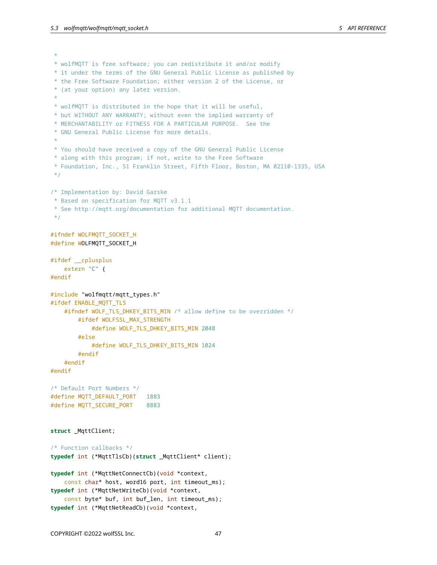```
\ddot{\phantom{0}}* wolfMQTT is free software; you can redistribute it and/or modify
 * it under the terms of the GNU General Public License as published by
 * the Free Software Foundation; either version 2 of the License, or
 * (at your option) any later version.
 *
 * wolfMQTT is distributed in the hope that it will be useful,
 * but WITHOUT ANY WARRANTY; without even the implied warranty of
 * MERCHANTABILITY or FITNESS FOR A PARTICULAR PURPOSE. See the
 * GNU General Public License for more details.
 *
 * You should have received a copy of the GNU General Public License
 * along with this program; if not, write to the Free Software
 * Foundation, Inc., 51 Franklin Street, Fifth Floor, Boston, MA 02110-1335, USA
*/
/* Implementation by: David Garske
 * Based on specification for MQTT v3.1.1
* See http://mqtt.org/documentation for additional MQTT documentation.
*/
#ifndef WOLFMQTT_SOCKET_H
#define WOLFMQTT_SOCKET_H
#ifdef __cplusplus
    extern "C" {
#endif
#include "wolfmqtt/mqtt_types.h"
#ifdef ENABLE_MQTT_TLS
    #ifndef WOLF_TLS_DHKEY_BITS_MIN /* allow define to be overridden */
        #ifdef WOLFSSL_MAX_STRENGTH
            #define WOLF_TLS_DHKEY_BITS_MIN 2048
        #else
            #define WOLF_TLS_DHKEY_BITS_MIN 1024
        #endif
    #endif
#endif
/* Default Port Numbers */
#define MQTT_DEFAULT_PORT 1883
#define MQTT_SECURE_PORT 8883
struct _MqttClient;
/* Function callbacks */
typedef int (*MqttTlsCb)(struct _MqttClient* client);
typedef int (*MqttNetConnectCb)(void *context,
    const char* host, word16 port, int timeout_ms);
typedef int (*MqttNetWriteCb)(void *context,
    const byte* buf, int buf_len, int timeout_ms);
typedef int (*MqttNetReadCb)(void *context,
```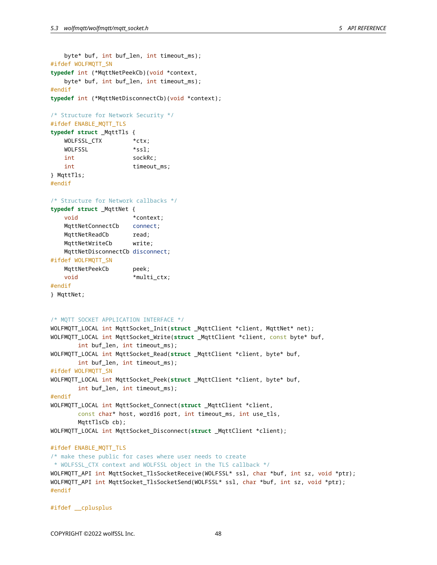```
byte* buf, int buf_len, int timeout_ms);
#ifdef WOLFMQTT_SN
typedef int (*MqttNetPeekCb)(void *context,
    byte* buf, int buf_len, int timeout_ms);
#endif
typedef int (*MqttNetDisconnectCb)(void *context);
/* Structure for Network Security */
#ifdef ENABLE_MQTT_TLS
typedef struct _MqttTls {
    WOLFSSL_CTX *ctx;
   WOLFSSL *ssl;
    int sockRc;
    int timeout_ms;
} MqttTls;
#endif
/* Structure for Network callbacks */
typedef struct _MqttNet {
    void *context;
    MqttNetConnectCb connect;
    MqttNetReadCb read;
   MqttNetWriteCb write;
    MqttNetDisconnectCb disconnect;
#ifdef WOLFMQTT_SN
   MqttNetPeekCb peek;
    void *multi_ctx;
#endif
} MqttNet;
/* MQTT SOCKET APPLICATION INTERFACE */
WOLFMQTT_LOCAL int MqttSocket_Init(struct _MqttClient *client, MqttNet* net);
WOLFMQTT_LOCAL int MqttSocket_Write(struct _MqttClient *client, const byte* buf,
       int buf_len, int timeout_ms);
WOLFMQTT_LOCAL int MqttSocket_Read(struct _MqttClient *client, byte* buf,
       int buf_len, int timeout_ms);
#ifdef WOLFMQTT_SN
WOLFMQTT_LOCAL int MqttSocket_Peek(struct _MqttClient *client, byte* buf,
       int buf_len, int timeout_ms);
#endif
WOLFMQTT_LOCAL int MqttSocket_Connect(struct _MqttClient *client,
       const char* host, word16 port, int timeout_ms, int use_tls,
       MqttTlsCb cb);
WOLFMQTT_LOCAL int MqttSocket_Disconnect(struct _MqttClient *client);
#ifdef ENABLE_MQTT_TLS
/* make these public for cases where user needs to create
* WOLFSSL_CTX context and WOLFSSL object in the TLS callback */
WOLFMQTT_API int MqttSocket_TlsSocketReceive(WOLFSSL* ssl, char *buf, int sz, void *ptr);
WOLFMQTT_API int MqttSocket_TlsSocketSend(WOLFSSL* ssl, char *buf, int sz, void *ptr);
```
#endif

#ifdef \_\_cplusplus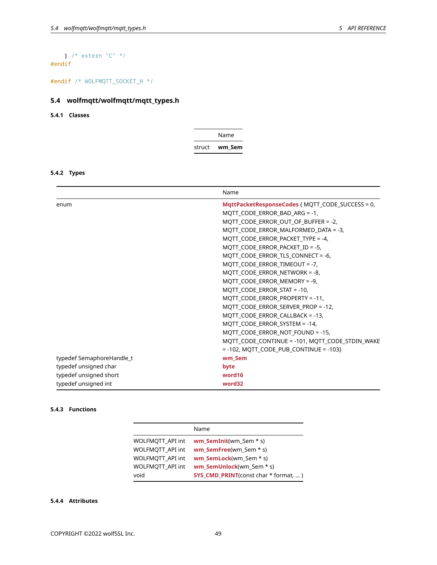} /\* extern "C" \*/ #endif

<span id="page-48-0"></span>#endif /\* WOLFMQTT\_SOCKET\_H \*/

# **5.4 wolfmqtt/wolfmqtt/mqtt\_types.h**

# <span id="page-48-1"></span>**5.4.1 Classes**

Name struct **wm\_Sem**

# <span id="page-48-2"></span>**5.4.2 Types**

|                           | Name                                             |  |  |
|---------------------------|--------------------------------------------------|--|--|
| enum                      | MqttPacketResponseCodes { MQTT_CODE_SUCCESS = 0, |  |  |
|                           | MQTT_CODE_ERROR_BAD_ARG = -1,                    |  |  |
|                           | MQTT_CODE_ERROR_OUT_OF_BUFFER = -2,              |  |  |
|                           | MQTT_CODE_ERROR_MALFORMED_DATA = -3,             |  |  |
|                           | MQTT_CODE_ERROR_PACKET_TYPE = -4,                |  |  |
|                           | MQTT_CODE_ERROR_PACKET_ID = -5,                  |  |  |
|                           | MQTT_CODE_ERROR_TLS_CONNECT = -6,                |  |  |
|                           | MQTT_CODE_ERROR_TIMEOUT = -7,                    |  |  |
|                           | MQTT_CODE_ERROR_NETWORK = -8,                    |  |  |
|                           | MQTT_CODE_ERROR_MEMORY = -9,                     |  |  |
|                           | MQTT_CODE_ERROR_STAT = -10,                      |  |  |
|                           | MQTT_CODE_ERROR_PROPERTY = -11,                  |  |  |
|                           | MQTT_CODE_ERROR_SERVER_PROP = -12,               |  |  |
|                           | MQTT_CODE_ERROR_CALLBACK = -13,                  |  |  |
|                           | MQTT_CODE_ERROR_SYSTEM = -14,                    |  |  |
|                           | MQTT_CODE_ERROR_NOT_FOUND = -15,                 |  |  |
|                           | MQTT_CODE_CONTINUE = -101, MQTT_CODE_STDIN_WAKE  |  |  |
|                           | $= -102$ , MQTT_CODE_PUB_CONTINUE = $-103$ }     |  |  |
| typedef SemaphoreHandle_t | wm Sem                                           |  |  |
| typedef unsigned char     | byte                                             |  |  |
| typedef unsigned short    | word16                                           |  |  |
| typedef unsigned int      | word32                                           |  |  |

# <span id="page-48-3"></span>**5.4.3 Functions**

|                  | Name                                         |
|------------------|----------------------------------------------|
| WOLFMOTT API int | wm SemInit(wm Sem $*$ s)                     |
| WOLFMOTT API int | wm SemFree(wm Sem * s)                       |
| WOLFMOTT API int | wm SemLock(wm Sem * s)                       |
| WOLFMOTT API int | wm SemUnlock(wm Sem * s)                     |
| void             | <b>SYS_CMD_PRINT</b> (const char * format, ) |

# <span id="page-48-4"></span>**5.4.4 Attributes**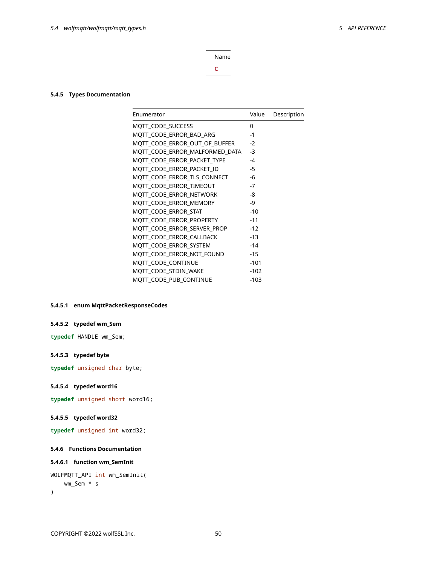Name **[C](#page-30-2)**

# <span id="page-49-3"></span><span id="page-49-0"></span>**5.4.5 Types Documentation**

| Enumerator                     | Value  | Description |
|--------------------------------|--------|-------------|
| MQTT_CODE_SUCCESS              | 0      |             |
| MQTT_CODE_ERROR_BAD_ARG        | $-1$   |             |
| MOTT_CODE_ERROR_OUT_OF_BUFFER  | $-2$   |             |
| MQTT_CODE_ERROR_MALFORMED_DATA | $-3$   |             |
| MOTT CODE ERROR PACKET TYPE    | $-4$   |             |
| MQTT_CODE_ERROR_PACKET_ID      | $-5$   |             |
| MOTT CODE ERROR TLS CONNECT    | -6     |             |
| MQTT_CODE_ERROR_TIMEOUT        | $-7$   |             |
| MOTT CODE ERROR NETWORK        | -8     |             |
| MQTT_CODE_ERROR_MEMORY         | $-9$   |             |
| MQTT_CODE_ERROR_STAT           | $-10$  |             |
| MQTT_CODE_ERROR_PROPERTY       | $-11$  |             |
| MQTT_CODE_ERROR_SERVER_PROP    | $-12$  |             |
| MOTT CODE ERROR CALLBACK       | $-13$  |             |
| MQTT_CODE_ERROR_SYSTEM         | $-14$  |             |
| MQTT_CODE_ERROR_NOT_FOUND      | $-15$  |             |
| MOTT CODE CONTINUE             | $-101$ |             |
| MQTT_CODE_STDIN_WAKE           | $-102$ |             |
| MQTT_CODE_PUB_CONTINUE         | $-103$ |             |

# **5.4.5.1 enum MqttPacketResponseCodes**

# **5.4.5.2 typedef wm\_Sem**

<span id="page-49-2"></span>**typedef** HANDLE wm\_Sem;

# **5.4.5.3 typedef byte**

<span id="page-49-4"></span>**typedef** unsigned char byte;

# **5.4.5.4 typedef word16**

<span id="page-49-5"></span>**typedef** unsigned short word16;

# **5.4.5.5 typedef word32**

```
typedef unsigned int word32;
```
**5.4.6 Functions Documentation**

# **5.4.6.1 function wm\_SemInit**

```
WOLFMQTT_API int wm_SemInit(
    wm_Sem * s
)
```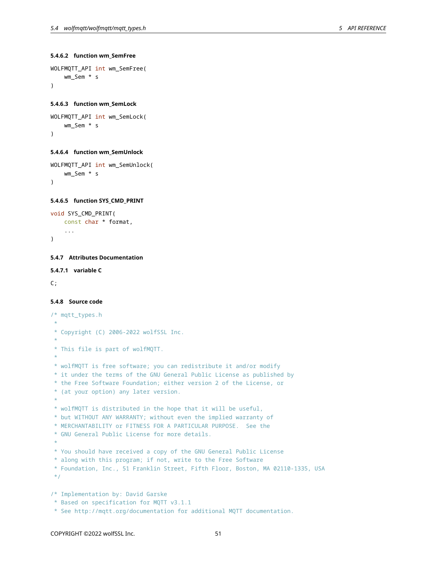## **5.4.6.2 function wm\_SemFree**

```
WOLFMQTT_API int wm_SemFree(
    wm_Sem * s
)
```
#### **5.4.6.3 function wm\_SemLock**

```
WOLFMQTT_API int wm_SemLock(
    wm_Sem * s
\lambda
```
#### **5.4.6.4 function wm\_SemUnlock**

```
WOLFMQTT_API int wm_SemUnlock(
   wm_Sem * s
)
```
#### **5.4.6.5 function SYS\_CMD\_PRINT**

```
void SYS_CMD_PRINT(
```

```
const char * format,
...
```
#### **5.4.7 Attributes Documentation**

```
5.4.7.1 variable C
```

```
C;
```
<span id="page-50-0"></span>)

```
5.4.8 Source code
```

```
/* mqtt_types.h
 *
* Copyright (C) 2006-2022 wolfSSL Inc.
 *
* This file is part of wolfMQTT.
 *
* wolfMQTT is free software; you can redistribute it and/or modify
* it under the terms of the GNU General Public License as published by
* the Free Software Foundation; either version 2 of the License, or
* (at your option) any later version.
 *
* wolfMQTT is distributed in the hope that it will be useful,
* but WITHOUT ANY WARRANTY; without even the implied warranty of
* MERCHANTABILITY or FITNESS FOR A PARTICULAR PURPOSE. See the
* GNU General Public License for more details.
 *
* You should have received a copy of the GNU General Public License
* along with this program; if not, write to the Free Software
* Foundation, Inc., 51 Franklin Street, Fifth Floor, Boston, MA 02110-1335, USA
*/
/* Implementation by: David Garske
```

```
* Based on specification for MQTT v3.1.1
```

```
* See http://mqtt.org/documentation for additional MQTT documentation.
```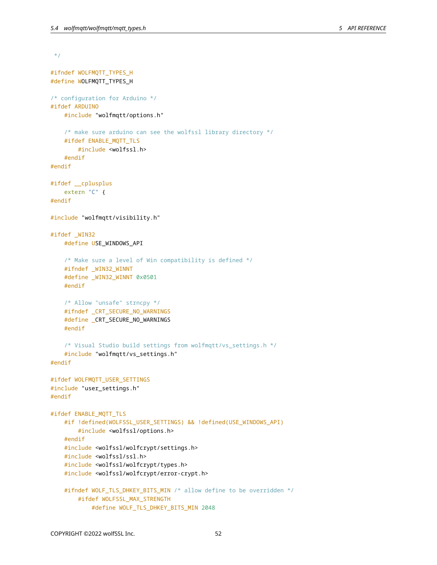```
*/
#ifndef WOLFMQTT_TYPES_H
#define WOLFMQTT_TYPES_H
/* configuration for Arduino */
#ifdef ARDUINO
   #include "wolfmqtt/options.h"
    /* make sure arduino can see the wolfssl library directory */
    #ifdef ENABLE_MQTT_TLS
       #include <wolfssl.h>
    #endif
#endif
#ifdef __cplusplus
    extern "C" {
#endif
#include "wolfmqtt/visibility.h"
#ifdef _WIN32
    #define USE_WINDOWS_API
    /* Make sure a level of Win compatibility is defined */
    #ifndef _WIN32_WINNT
    #define _WIN32_WINNT 0x0501
   #endif
   /* Allow "unsafe" strncpy */
    #ifndef _CRT_SECURE_NO_WARNINGS
    #define _CRT_SECURE_NO_WARNINGS
    #endif
    /* Visual Studio build settings from wolfmqtt/vs_settings.h */
    #include "wolfmqtt/vs_settings.h"
#endif
#ifdef WOLFMQTT_USER_SETTINGS
#include "user_settings.h"
#endif
#ifdef ENABLE_MQTT_TLS
    #if !defined(WOLFSSL_USER_SETTINGS) && !defined(USE_WINDOWS_API)
       #include <wolfssl/options.h>
    #endif
    #include <wolfssl/wolfcrypt/settings.h>
    #include <wolfssl/ssl.h>
   #include <wolfssl/wolfcrypt/types.h>
   #include <wolfssl/wolfcrypt/error-crypt.h>
    #ifndef WOLF_TLS_DHKEY_BITS_MIN /* allow define to be overridden */
        #ifdef WOLFSSL_MAX_STRENGTH
            #define WOLF_TLS_DHKEY_BITS_MIN 2048
```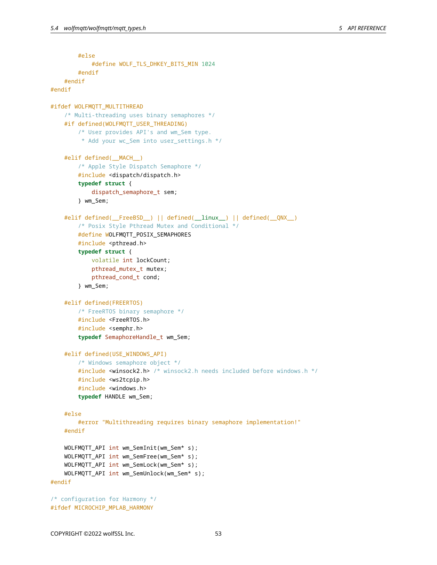```
#else
            #define WOLF_TLS_DHKEY_BITS_MIN 1024
        #endif
    #endif
#endif
#ifdef WOLFMQTT_MULTITHREAD
    /* Multi-threading uses binary semaphores */
    #if defined(WOLFMQTT USER THREADING)
        /* User provides API's and wm_Sem type.
         * Add your wc_Sem into user_settings.h */
    #elif defined(__MACH__)
        /* Apple Style Dispatch Semaphore */
        #include <dispatch/dispatch.h>
        typedef struct {
            dispatch_semaphore_t sem;
        } wm_Sem;
    #elif defined(__FreeBSD__) || defined(__linux__) || defined(__QNX__)
        /* Posix Style Pthread Mutex and Conditional */
        #define WOLFMQTT_POSIX_SEMAPHORES
        #include <pthread.h>
        typedef struct {
            volatile int lockCount;
            pthread_mutex_t mutex;
            pthread_cond_t cond;
        } wm_Sem;
    #elif defined(FREERTOS)
        /* FreeRTOS binary semaphore */
        #include <FreeRTOS.h>
        #include <semphr.h>
        typedef SemaphoreHandle_t wm_Sem;
    #elif defined(USE_WINDOWS_API)
        /* Windows semaphore object */
        #include <winsock2.h> /* winsock2.h needs included before windows.h */
        #include <ws2tcpip.h>
        #include <windows.h>
        typedef HANDLE wm_Sem;
    #else
        #error "Multithreading requires binary semaphore implementation!"
    #endif
    WOLFMQTT_API int wm_SemInit(wm_Sem* s);
   WOLFMQTT_API int wm_SemFree(wm_Sem* s);
   WOLFMQTT_API int wm_SemLock(wm_Sem* s);
   WOLFMQTT_API int wm_SemUnlock(wm_Sem* s);
#endif
/* configuration for Harmony */
#ifdef MICROCHIP_MPLAB_HARMONY
```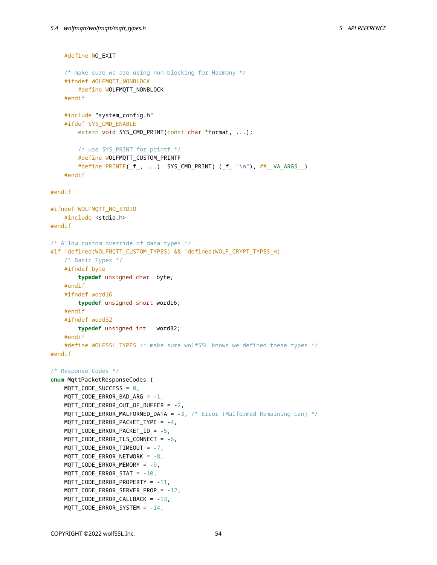```
#define NO_EXIT
    /* make sure we are using non-blocking for Harmony */
    #ifndef WOLFMQTT_NONBLOCK
        #define WOLFMQTT_NONBLOCK
    #endif
    #include "system_config.h"
    #ifdef SYS_CMD_ENABLE
        extern void SYS_CMD_PRINT(const char *format, ...);
        /* use SYS_PRINT for printf */
        #define WOLFMQTT_CUSTOM_PRINTF
        #define PRINTF(_f_, ...) SYS_CMD_PRINT( (_f_ "\n"), ##__VA_ARGS__)
    #endif
#endif
#ifndef WOLFMQTT_NO_STDIO
   #include <stdio.h>
#endif
/* Allow custom override of data types */
#if !defined(WOLFMQTT_CUSTOM_TYPES) && !defined(WOLF_CRYPT_TYPES_H)
    /* Basic Types */
    #ifndef byte
        typedef unsigned char byte;
    #endif
    #ifndef word16
        typedef unsigned short word16;
    #endif
    #ifndef word32
        typedef unsigned int word32;
    #endif
    #define WOLFSSL_TYPES /* make sure wolfSSL knows we defined these types */
#endif
/* Response Codes */
enum MqttPacketResponseCodes {
   MQTT_CODE_SUCCESS = 0,
   MQTT_CODE_ERROR_BAD_ARG = -1,
    MQTT CODE ERROR OUT OF BUFFER = -2,
    MQTT_CODE_ERROR_MALFORMED_DATA = -3, /* Error (Malformed Remaining Len) */
    MQTT_CODE_ERROR_PACKET_TYPE = -4,
    MQTT_CODE_ERROR_PACKET_ID = -5,
    MQTT_CODE_ERROR_TLS_CONNECT = -6,
    MQTT_CODE_ERROR_TIMEOUT = -7,
    MQTT_CODE_ERROR_NETWORK = -8,
    MQTT_CODE_ERROR_MEMORY = -9,
    MQTT_CODE_ERROR_STAT = -10,
   MQTT_CODE_ERROR_PROPERTY = -11,
   MQTT_CODE_ERROR_SERVER_PROP = -12,
   MQTT_CODE_ERROR_CALLBACK = -13,
    MQTT_CODE_ERROR_SYSTEM = -14,
```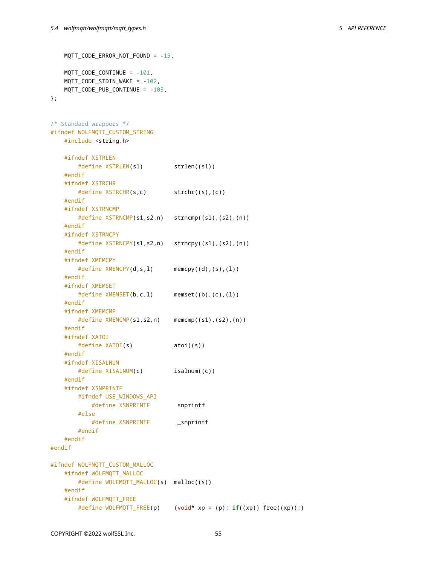```
MQTT_CODE_ERROR_NOT_FOUND = -15,
   MQTT_CODE_CONTINUE = -101,
   MQTT_CODE_STDIN_WAKE = -102,
   MQTT_CODE_PUB_CONTINUE = -103,
};
/* Standard wrappers */
#ifndef WOLFMQTT_CUSTOM_STRING
    #include <string.h>
   #ifndef XSTRLEN
       #define XSTRLEN(s1) strlen((s1))
    #endif
    #ifndef XSTRCHR
       #define XSTRCHR(s,c) strchr((s),(c))
    #endif
    #ifndef XSTRNCMP
       #define XSTRNCMP(s1,s2,n) strncmp((s1),(s2),(n))
    #endif
    #ifndef XSTRNCPY
       #define XSTRNCPY(s1,s2,n) strncpy((s1),(s2),(n))
    #endif
    #ifndef XMEMCPY
       #define XMEMCPY(d,s,l) memcpy((d),(s),(l))
    #endif
    #ifndef XMEMSET
       #define XMEMSET(b,c,l) memset((b),(c),(l))
    #endif
    #ifndef XMEMCMP
       #define XMEMCMP(s1,s2,n) memcmp((s1),(s2),(n))
    #endif
    #ifndef XATOI
       #define XATOI(s) atoi((s))
    #endif
    #ifndef XISALNUM
       #define XISALNUM(c) isalnum((c))
    #endif
    #ifndef XSNPRINTF
       #ifndef USE_WINDOWS_API
           #define XSNPRINTF snprintf
       #else
           #define XSNPRINTF _snprintf
       #endif
   #endif
#endif
#ifndef WOLFMQTT_CUSTOM_MALLOC
   #ifndef WOLFMQTT_MALLOC
       #define WOLFMQTT_MALLOC(s) malloc((s))
    #endif
    #ifndef WOLFMQTT_FREE
       #define WOLFMQTT_FREE(p) {void* xp = (p); if((xp)) free((xp));}
```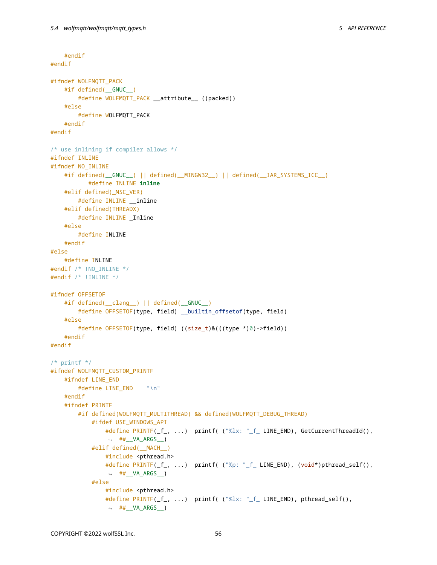```
#endif
#endif
#ifndef WOLFMQTT_PACK
    #if defined(__GNUC__)
        #define WOLFMQTT_PACK __attribute__ ((packed))
    #else
        #define WOLFMQTT_PACK
    #endif
#endif
/* use inlining if compiler allows */
#ifndef INLINE
#ifndef NO_INLINE
    #if defined(__GNUC__) || defined(__MINGW32__) || defined(__IAR_SYSTEMS_ICC__)
           #define INLINE inline
    #elif defined(_MSC_VER)
        #define INLINE __inline
    #elif defined(THREADX)
        #define INLINE _Inline
    #else
        #define INLINE
    #endif
#else
    #define INLINE
#endif /* !NO_INLINE */
#endif /* !INLINE */
#ifndef OFFSETOF
    #if defined(__clang__) || defined(__GNUC__)
        #define OFFSETOF(type, field) __builtin_offsetof(type, field)
    #else
        #define OFFSETOF(type, field) ((size_t)&(((type *)0)->field))
    #endif
#endif
/* printf */
#ifndef WOLFMQTT_CUSTOM_PRINTF
    #ifndef LINE_END
        #define LINE END "\n"
    #endif
    #ifndef PRINTF
        #if defined(WOLFMQTT_MULTITHREAD) && defined(WOLFMQTT_DEBUG_THREAD)
            #ifdef USE_WINDOWS_API
                #define PRINTF(_f_, ...) printf( ("%lx: "_f_ LINE_END), GetCurrentThreadId(),
                 \rightarrow ## VA ARGS )
            #elif defined(__MACH__)
                #include <pthread.h>
                #define PRINTF(_f_, ...) printf( ("%p: "_f_ LINE_END), (void*)pthread_self(),
                 \rightarrow ##__VA_ARGS__)
            #else
                #include <pthread.h>
                #define PRINTF(_f_, ...) printf( ("%lx: "_f_ LINE_END), pthread_self(),
                 \leftrightarrow ##__VA_ARGS__)
```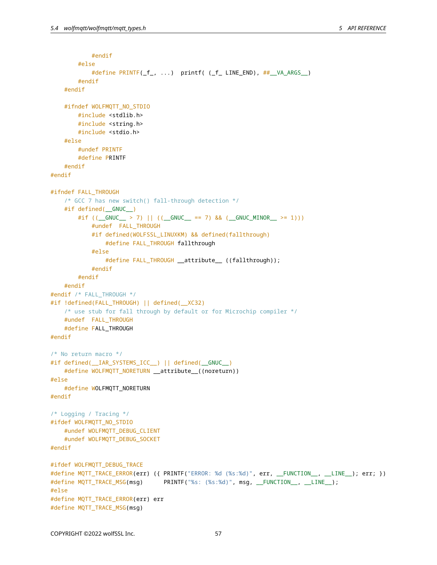```
#endif
        #else
            #define PRINTF(_f_, ...) printf( (_f_ LINE_END), ##__VA_ARGS__)
        #endif
    #endif
    #ifndef WOLFMQTT_NO_STDIO
       #include <stdlib.h>
        #include <string.h>
        #include <stdio.h>
    #else
        #undef PRINTF
        #define PRINTF
    #endif
#endif
#ifndef FALL_THROUGH
    /* GCC 7 has new switch() fall-through detection */
   #if defined(__GNUC__)
        #if ((\_GNUC_ > 7) || ((\_GNUC_ == 7) & . (\_GNUC_MINOR_ > = 1)))#undef FALL_THROUGH
            #if defined(WOLFSSL_LINUXKM) && defined(fallthrough)
                #define FALL_THROUGH fallthrough
            #else
                #define FALL_THROUGH __ attribute ((fallthrough));
            #endif
        #endif
    #endif
#endif /* FALL_THROUGH */
#if !defined(FALL_THROUGH) || defined(__XC32)
    /* use stub for fall through by default or for Microchip compiler */
    #undef FALL_THROUGH
    #define FALL_THROUGH
#endif
/* No return macro */
#if defined(__IAR_SYSTEMS_ICC__) || defined(__GNUC__)
    #define WOLFMQTT_NORETURN __attribute__((noreturn))
#else
    #define WOLFMQTT_NORETURN
#endif
/* Logging / Tracing */
#ifdef WOLFMQTT_NO_STDIO
   #undef WOLFMQTT_DEBUG_CLIENT
    #undef WOLFMQTT_DEBUG_SOCKET
#endif
#ifdef WOLFMQTT_DEBUG_TRACE
#define MQTT_TRACE_ERROR(err) ({ PRINTF("ERROR: %d (%s:%d)", err, __FUNCTION__, __LINE__); err; })
#define MQTT_TRACE_MSG(msg) PRINTF("%s: (%s:%d)", msg, __FUNCTION__, __LINE__);
#else
#define MQTT_TRACE_ERROR(err) err
#define MQTT_TRACE_MSG(msg)
```